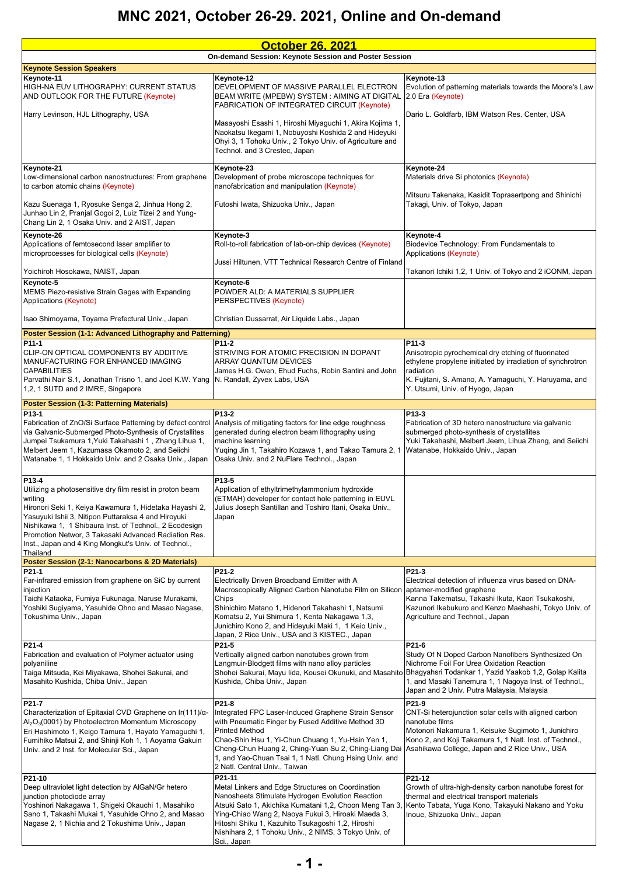| <b>October 26, 2021</b>                                                                                                                                                                                                                                                                                                                                                              |                                                                                                                                                                                                                                                                                                                                                              |                                                                                                                                                                                                                                                     |
|--------------------------------------------------------------------------------------------------------------------------------------------------------------------------------------------------------------------------------------------------------------------------------------------------------------------------------------------------------------------------------------|--------------------------------------------------------------------------------------------------------------------------------------------------------------------------------------------------------------------------------------------------------------------------------------------------------------------------------------------------------------|-----------------------------------------------------------------------------------------------------------------------------------------------------------------------------------------------------------------------------------------------------|
| On-demand Session: Keynote Session and Poster Session                                                                                                                                                                                                                                                                                                                                |                                                                                                                                                                                                                                                                                                                                                              |                                                                                                                                                                                                                                                     |
| <b>Keynote Session Speakers</b><br>Keynote-11                                                                                                                                                                                                                                                                                                                                        | Keynote-12                                                                                                                                                                                                                                                                                                                                                   | Keynote-13                                                                                                                                                                                                                                          |
| HIGH-NA EUV LITHOGRAPHY: CURRENT STATUS<br>AND OUTLOOK FOR THE FUTURE (Keynote)                                                                                                                                                                                                                                                                                                      | DEVELOPMENT OF MASSIVE PARALLEL ELECTRON<br>BEAM WRITE (MPEBW) SYSTEM: AIMING AT DIGITAL<br><b>FABRICATION OF INTEGRATED CIRCUIT (Keynote)</b>                                                                                                                                                                                                               | Evolution of patterning materials towards the Moore's Law<br>2.0 Era (Keynote)                                                                                                                                                                      |
| Harry Levinson, HJL Lithography, USA                                                                                                                                                                                                                                                                                                                                                 | Masayoshi Esashi 1, Hiroshi Miyaguchi 1, Akira Kojima 1,<br>Naokatsu Ikegami 1, Nobuyoshi Koshida 2 and Hideyuki<br>Ohyi 3, 1 Tohoku Univ., 2 Tokyo Univ. of Agriculture and<br>Technol. and 3 Crestec, Japan                                                                                                                                                | Dario L. Goldfarb, IBM Watson Res. Center, USA                                                                                                                                                                                                      |
| Keynote-21<br>Low-dimensional carbon nanostructures: From graphene<br>to carbon atomic chains (Keynote)                                                                                                                                                                                                                                                                              | Keynote-23<br>Development of probe microscope techniques for<br>nanofabrication and manipulation (Keynote)                                                                                                                                                                                                                                                   | Keynote-24<br>Materials drive Si photonics (Keynote)                                                                                                                                                                                                |
| Kazu Suenaga 1, Ryosuke Senga 2, Jinhua Hong 2,<br>Junhao Lin 2, Pranjal Gogoi 2, Luiz Tizei 2 and Yung-<br>Chang Lin 2, 1 Osaka Univ. and 2 AIST, Japan                                                                                                                                                                                                                             | Futoshi Iwata, Shizuoka Univ., Japan                                                                                                                                                                                                                                                                                                                         | Mitsuru Takenaka, Kasidit Toprasertpong and Shinichi<br>Takagi, Univ. of Tokyo, Japan                                                                                                                                                               |
| Keynote-26<br>Applications of femtosecond laser amplifier to<br>microprocesses for biological cells (Keynote)                                                                                                                                                                                                                                                                        | Keynote-3<br>Roll-to-roll fabrication of lab-on-chip devices (Keynote)                                                                                                                                                                                                                                                                                       | Keynote-4<br>Biodevice Technology: From Fundamentals to<br>Applications (Keynote)                                                                                                                                                                   |
| Yoichiroh Hosokawa, NAIST, Japan                                                                                                                                                                                                                                                                                                                                                     | Jussi Hiltunen, VTT Technical Research Centre of Finland                                                                                                                                                                                                                                                                                                     | Takanori Ichiki 1,2, 1 Univ. of Tokyo and 2 iCONM, Japan                                                                                                                                                                                            |
| Keynote-5<br>MEMS Piezo-resistive Strain Gages with Expanding<br>Applications (Keynote)                                                                                                                                                                                                                                                                                              | Keynote-6<br>POWDER ALD: A MATERIALS SUPPLIER<br>PERSPECTIVES (Keynote)                                                                                                                                                                                                                                                                                      |                                                                                                                                                                                                                                                     |
| Isao Shimoyama, Toyama Prefectural Univ., Japan                                                                                                                                                                                                                                                                                                                                      | Christian Dussarrat, Air Liquide Labs., Japan                                                                                                                                                                                                                                                                                                                |                                                                                                                                                                                                                                                     |
| Poster Session (1-1: Advanced Lithography and Patterning)                                                                                                                                                                                                                                                                                                                            |                                                                                                                                                                                                                                                                                                                                                              |                                                                                                                                                                                                                                                     |
| P11-1<br>CLIP-ON OPTICAL COMPONENTS BY ADDITIVE<br>MANUFACTURING FOR ENHANCED IMAGING<br><b>CAPABILITIES</b><br>Parvathi Nair S.1, Jonathan Trisno 1, and Joel K.W. Yang N. Randall, Zyvex Labs, USA<br>1,2, 1 SUTD and 2 IMRE, Singapore                                                                                                                                            | P11-2<br>STRIVING FOR ATOMIC PRECISION IN DOPANT<br><b>ARRAY QUANTUM DEVICES</b><br>James H.G. Owen, Ehud Fuchs, Robin Santini and John                                                                                                                                                                                                                      | P11-3<br>Anisotropic pyrochemical dry etching of fluorinated<br>ethylene propylene initiated by irradiation of synchrotron<br>radiation<br>K. Fujitani, S. Amano, A. Yamaguchi, Y. Haruyama, and<br>Y. Utsumi, Univ. of Hyogo, Japan                |
| Poster Session (1-3: Patterning Materials)                                                                                                                                                                                                                                                                                                                                           |                                                                                                                                                                                                                                                                                                                                                              |                                                                                                                                                                                                                                                     |
| P13-1<br>Fabrication of ZnO/Si Surface Patterning by defect control<br>via Galvanic-Submerged Photo-Synthesis of Crystallites<br>Jumpei Tsukamura 1, Yuki Takahashi 1, Zhang Lihua 1,<br>Melbert Jeem 1, Kazumasa Okamoto 2, and Seiichi<br>Watanabe 1, 1 Hokkaido Univ. and 2 Osaka Univ., Japan                                                                                    | P13-2<br>Analysis of mitigating factors for line edge roughness<br>generated during electron beam lithography using<br>machine learning<br>Yuqing Jin 1, Takahiro Kozawa 1, and Takao Tamura 2, 1<br>Osaka Univ. and 2 NuFlare Technol., Japan                                                                                                               | P13-3<br>Fabrication of 3D hetero nanostructure via galvanic<br>submerged photo-synthesis of crystallites<br>Yuki Takahashi, Melbert Jeem, Lihua Zhang, and Seiichi<br>Watanabe, Hokkaido Univ., Japan                                              |
| P13-4<br>Utilizing a photosensitive dry film resist in proton beam<br>writing<br>Hironori Seki 1, Keiya Kawamura 1, Hidetaka Hayashi 2,<br>Yasuyuki Ishii 3, Nitipon Puttaraksa 4 and Hiroyuki<br>Nishikawa 1, 1 Shibaura Inst. of Technol., 2 Ecodesign<br>Promotion Networ, 3 Takasaki Advanced Radiation Res.<br>Inst., Japan and 4 King Mongkut's Univ. of Technol.,<br>Thailand | P13-5<br>Application of ethyltrimethylammonium hydroxide<br>(ETMAH) developer for contact hole patterning in EUVL<br>Julius Joseph Santillan and Toshiro Itani, Osaka Univ.,<br>Japan                                                                                                                                                                        |                                                                                                                                                                                                                                                     |
| Poster Session (2-1: Nanocarbons & 2D Materials)<br>P21-1                                                                                                                                                                                                                                                                                                                            | P21-2                                                                                                                                                                                                                                                                                                                                                        | P21-3                                                                                                                                                                                                                                               |
| Far-infrared emission from graphene on SiC by current<br>injection<br>Taichi Kataoka, Fumiya Fukunaga, Naruse Murakami,<br>Yoshiki Sugiyama, Yasuhide Ohno and Masao Nagase,<br>Tokushima Univ., Japan                                                                                                                                                                               | Electrically Driven Broadband Emitter with A<br>Macroscopically Aligned Carbon Nanotube Film on Silicon<br>Chips<br>Shinichiro Matano 1, Hidenori Takahashi 1, Natsumi<br>Komatsu 2, Yui Shimura 1, Kenta Nakagawa 1,3,<br>Junichiro Kono 2, and Hideyuki Maki 1, 1 Keio Univ.,<br>Japan, 2 Rice Univ., USA and 3 KISTEC., Japan                             | Electrical detection of influenza virus based on DNA-<br>aptamer-modified graphene<br>Kanna Takematsu, Takashi Ikuta, Kaori Tsukakoshi,<br>Kazunori Ikebukuro and Kenzo Maehashi, Tokyo Univ. of<br>Agriculture and Technol., Japan                 |
| P21-4<br>Fabrication and evaluation of Polymer actuator using<br>polyaniline<br>Taiga Mitsuda, Kei Miyakawa, Shohei Sakurai, and<br>Masahito Kushida, Chiba Univ., Japan                                                                                                                                                                                                             | P21-5<br>Vertically aligned carbon nanotubes grown from<br>Langmuir-Blodgett films with nano alloy particles<br>Shohei Sakurai, Mayu lida, Kousei Okunuki, and Masahito Bhagyahsri Todankar 1, Yazid Yaakob 1,2, Golap Kalita<br>Kushida, Chiba Univ., Japan                                                                                                 | P21-6<br>Study Of N Doped Carbon Nanofibers Synthesized On<br>Nichrome Foil For Urea Oxidation Reaction<br>1, and Masaki Tanemura 1, 1 Nagoya Inst. of Technol.,<br>Japan and 2 Univ. Putra Malaysia, Malaysia                                      |
| P21-7<br>Characterization of Epitaxial CVD Graphene on Ir(111)/a-<br>$\text{Al}_2\text{O}_3(0001)$ by Photoelectron Momentum Microscopy<br>Eri Hashimoto 1, Keigo Tamura 1, Hayato Yamaguchi 1,<br>Fumihiko Matsui 2, and Shinji Koh 1, 1 Aoyama Gakuin<br>Univ. and 2 Inst. for Molecular Sci., Japan                                                                               | P21-8<br>Integrated FPC Laser-Induced Graphene Strain Sensor<br>with Pneumatic Finger by Fused Additive Method 3D<br><b>Printed Method</b><br>Chao-Shin Hsu 1, Yi-Chun Chuang 1, Yu-Hsin Yen 1,<br>Cheng-Chun Huang 2, Ching-Yuan Su 2, Ching-Liang Dai<br>1, and Yao-Chuan Tsai 1, 1 Natl. Chung Hsing Univ. and<br>2 Natl. Central Univ., Taiwan           | P21-9<br>CNT-Si heterojunction solar cells with aligned carbon<br>nanotube films<br>Motonori Nakamura 1, Keisuke Sugimoto 1, Junichiro<br>Kono 2, and Koji Takamura 1, 1 Natl. Inst. of Technol.,<br>Asahikawa College, Japan and 2 Rice Univ., USA |
| P21-10<br>Deep ultraviolet light detection by AIGaN/Gr hetero<br>junction photodiode array<br>Yoshinori Nakagawa 1, Shigeki Okauchi 1, Masahiko<br>Sano 1, Takashi Mukai 1, Yasuhide Ohno 2, and Masao<br>Nagase 2, 1 Nichia and 2 Tokushima Univ., Japan                                                                                                                            | P21-11<br>Metal Linkers and Edge Structures on Coordination<br>Nanosheets Stimulate Hydrogen Evolution Reaction<br>Atsuki Sato 1, Akichika Kumatani 1,2, Choon Meng Tan 3<br>Ying-Chiao Wang 2, Naoya Fukui 3, Hiroaki Maeda 3,<br>Hitoshi Shiku 1, Kazuhito Tsukagoshi 1,2, Hiroshi<br>Nishihara 2, 1 Tohoku Univ., 2 NIMS, 3 Tokyo Univ. of<br>Sci., Japan | P21-12<br>Growth of ultra-high-density carbon nanotube forest for<br>thermal and electrical transport materials<br>Kento Tabata, Yuga Kono, Takayuki Nakano and Yoku<br>Inoue, Shizuoka Univ., Japan                                                |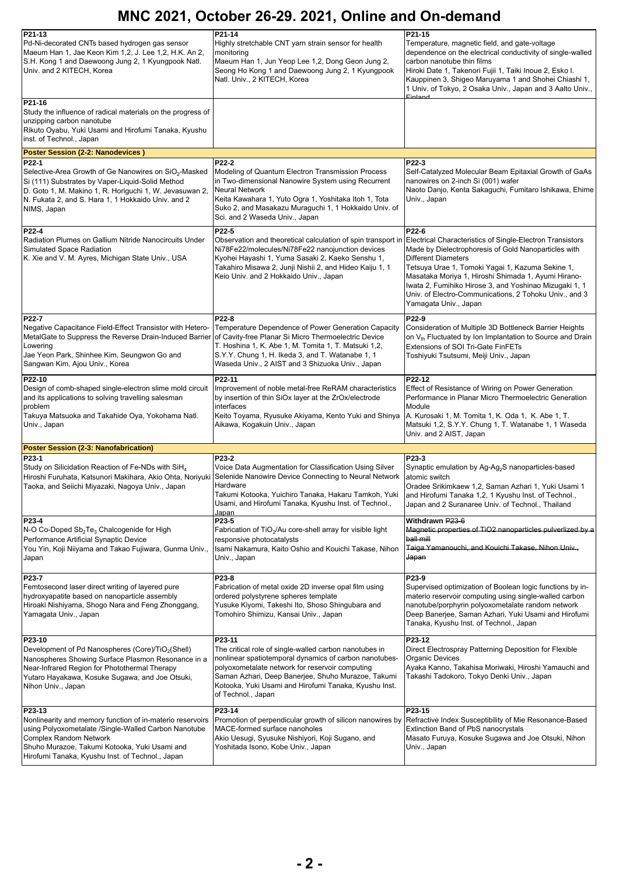| $P21-13$<br>Pd-Ni-decorated CNTs based hydrogen gas sensor<br>Maeum Han 1, Jae Keon Kim 1,2, J. Lee 1,2, H.K. An 2,<br>S.H. Kong 1 and Daewoong Jung 2, 1 Kyungpook Natl.<br>Univ. and 2 KITECH, Korea<br>P21-16                                           | P21-14<br>Highly stretchable CNT yarn strain sensor for health<br>monitoring<br>Maeum Han 1, Jun Yeop Lee 1,2, Dong Geon Jung 2,<br>Seong Ho Kong 1 and Daewoong Jung 2, 1 Kyungpook<br>Natl. Univ., 2 KITECH, Korea                                                                                               | P21-15<br>Temperature, magnetic field, and gate-voltage<br>dependence on the electrical conductivity of single-walled<br>carbon nanotube thin films<br>Hiroki Date 1, Takenori Fujii 1, Taiki Inoue 2, Esko I.<br>Kauppinen 3, Shigeo Maruyama 1 and Shohei Chiashi 1,<br>1 Univ. of Tokyo, 2 Osaka Univ., Japan and 3 Aalto Univ.,                                                                              |
|------------------------------------------------------------------------------------------------------------------------------------------------------------------------------------------------------------------------------------------------------------|--------------------------------------------------------------------------------------------------------------------------------------------------------------------------------------------------------------------------------------------------------------------------------------------------------------------|------------------------------------------------------------------------------------------------------------------------------------------------------------------------------------------------------------------------------------------------------------------------------------------------------------------------------------------------------------------------------------------------------------------|
| Study the influence of radical materials on the progress of<br>unzipping carbon nanotube<br>Rikuto Oyabu, Yuki Usami and Hirofumi Tanaka, Kyushu<br>inst. of Technol., Japan                                                                               |                                                                                                                                                                                                                                                                                                                    |                                                                                                                                                                                                                                                                                                                                                                                                                  |
| <b>Poster Session (2-2: Nanodevices)</b>                                                                                                                                                                                                                   |                                                                                                                                                                                                                                                                                                                    |                                                                                                                                                                                                                                                                                                                                                                                                                  |
| $P22-1$<br>Selective-Area Growth of Ge Nanowires on $SiO2$ -Masked<br>Si (111) Substrates by Vaper-Liquid-Solid Method<br>D. Goto 1, M. Makino 1, R. Horiguchi 1, W. Jevasuwan 2,<br>N. Fukata 2, and S. Hara 1, 1 Hokkaido Univ. and 2<br>NIMS, Japan     | P22-2<br>Modeling of Quantum Electron Transmission Process<br>in Two-dimensional Nanowire System using Recurrent<br><b>Neural Network</b><br>Keita Kawahara 1, Yuto Ogra 1, Yoshitaka Itoh 1, Tota<br>Suko 2, and Masakazu Muraguchi 1, 1 Hokkaido Univ. of<br>Sci. and 2 Waseda Univ., Japan                      | P22-3<br>Self-Catalyzed Molecular Beam Epitaxial Growth of GaAs<br>nanowires on 2-inch Si (001) wafer<br>Naoto Danjo, Kenta Sakaguchi, Fumitaro Ishikawa, Ehime<br>Univ., Japan                                                                                                                                                                                                                                  |
| P22-4<br>Radiation Plumes on Gallium Nitride Nanocircuits Under<br>Simulated Space Radiation<br>K. Xie and V. M. Ayres, Michigan State Univ., USA                                                                                                          | P22-5<br>Observation and theoretical calculation of spin transport in<br>Ni78Fe22/molecules/Ni78Fe22 nanojunction devices<br>Kyohei Hayashi 1, Yuma Sasaki 2, Kaeko Senshu 1,<br>Takahiro Misawa 2, Junji Nishii 2, and Hideo Kaiju 1, 1<br>Keio Univ. and 2 Hokkaido Univ., Japan                                 | P22-6<br>Electrical Characteristics of Single-Electron Transistors<br>Made by Dielectrophoresis of Gold Nanoparticles with<br><b>Different Diameters</b><br>Tetsuya Urae 1, Tomoki Yagai 1, Kazuma Sekine 1,<br>Masataka Moriya 1, Hiroshi Shimada 1, Ayumi Hirano-<br>Iwata 2, Fumihiko Hirose 3, and Yoshinao Mizugaki 1, 1<br>Univ. of Electro-Communications, 2 Tohoku Univ., and 3<br>Yamagata Univ., Japan |
| P22-7<br>Negative Capacitance Field-Effect Transistor with Hetero-<br>MetalGate to Suppress the Reverse Drain-Induced Barrier<br>Lowering<br>Jae Yeon Park, Shinhee Kim, Seungwon Go and<br>Sangwan Kim, Ajou Univ., Korea                                 | P22-8<br>Temperature Dependence of Power Generation Capacity<br>of Cavity-free Planar Si Micro Thermoelectric Device<br>T. Hoshina 1, K. Abe 1, M. Tomita 1, T. Matsuki 1,2,<br>S.Y.Y. Chung 1, H. Ikeda 3, and T. Watanabe 1, 1<br>Waseda Univ., 2 AIST and 3 Shizuoka Univ., Japan                               | P22-9<br>Consideration of Multiple 3D Bottleneck Barrier Heights<br>on $V_{th}$ Fluctuated by Ion Implantation to Source and Drain<br>Extensions of SOI Tri-Gate FinFETs<br>Toshiyuki Tsutsumi, Meiji Univ., Japan                                                                                                                                                                                               |
| P22-10<br>Design of comb-shaped single-electron slime mold circuit<br>and its applications to solving travelling salesman<br>problem<br>Takuya Matsuoka and Takahide Oya, Yokohama Natl.<br>Univ., Japan                                                   | P22-11<br>Improvement of noble metal-free ReRAM characteristics<br>by insertion of thin SiOx layer at the ZrOx/electrode<br>interfaces<br>Keito Toyama, Ryusuke Akiyama, Kento Yuki and Shinya<br>Aikawa, Kogakuin Univ., Japan                                                                                    | P22-12<br>Effect of Resistance of Wiring on Power Generation<br>Performance in Planar Micro Thermoelectric Generation<br>Module<br>A. Kurosaki 1, M. Tomita 1, K. Oda 1, K. Abe 1, T.<br>Matsuki 1,2, S.Y.Y. Chung 1, T. Watanabe 1, 1 Waseda<br>Univ. and 2 AIST, Japan                                                                                                                                         |
| <b>Poster Session (2-3: Nanofabrication)</b>                                                                                                                                                                                                               |                                                                                                                                                                                                                                                                                                                    |                                                                                                                                                                                                                                                                                                                                                                                                                  |
| P23-1<br>Study on Silicidation Reaction of Fe-NDs with SiH <sub>4</sub><br>Hiroshi Furuhata, Katsunori Makihara, Akio Ohta, Noriyuki<br>Taoka, and Seiichi Miyazaki, Nagoya Univ., Japan                                                                   | P23-2<br>Voice Data Augmentation for Classification Using Silver<br>Selenide Nanowire Device Connecting to Neural Network<br>Hardware<br>Takumi Kotooka, Yuichiro Tanaka, Hakaru Tamkoh, Yuki<br>Usami, and Hirofumi Tanaka, Kyushu Inst. of Technol.,<br>Japan                                                    | P23-3<br>Synaptic emulation by Ag-Ag <sub>2</sub> S nanoparticles-based<br>atomic switch<br>Oradee Srikimkaew 1,2, Saman Azhari 1, Yuki Usami 1<br>and Hirofumi Tanaka 1,2, 1 Kyushu Inst. of Technol.,<br>Japan and 2 Suranaree Univ. of Technol., Thailand                                                                                                                                                     |
| $P23-4$<br>N-O Co-Doped Sb <sub>2</sub> Te <sub>3</sub> Chalcogenide for High<br>Performance Artificial Synaptic Device<br>You Yin, Koji Niiyama and Takao Fujiwara, Gunma Univ.,<br>Japan                                                                 | P23-5<br>Fabrication of $TiO2/Au$ core-shell array for visible light<br>responsive photocatalysts<br>Isami Nakamura, Kaito Oshio and Kouichi Takase, Nihon<br>Univ., Japan                                                                                                                                         | Withdrawn P23-6<br>Magnetic properties of TiO2 nanoparticles pulverlized by a<br>ball mill<br>Taiga Yamanouchi, and Kouichi Takase, Nihon Univ.,<br>Japan                                                                                                                                                                                                                                                        |
| P23-7<br>Femtosecond laser direct writing of layered pure<br>hydroxyapatite based on nanoparticle assembly<br>Hiroaki Nishiyama, Shogo Nara and Feng Zhonggang,<br>Yamaqata Univ., Japan                                                                   | P23-8<br>Fabrication of metal oxide 2D inverse opal film using<br>ordered polystyrene spheres template<br>Yusuke Kiyomi, Takeshi Ito, Shoso Shingubara and<br>Tomohiro Shimizu, Kansai Univ., Japan                                                                                                                | P23-9<br>Supervised optimization of Boolean logic functions by in-<br>materio reservoir computing using single-walled carbon<br>nanotube/porphyrin polyoxometalate random network<br>Deep Banerjee, Saman Azhari, Yuki Usami and Hirofumi<br>Tanaka, Kyushu Inst. of Technol., Japan                                                                                                                             |
| P23-10<br>Development of Pd Nanospheres (Core)/TiO <sub>2</sub> (Shell)<br>Nanospheres Showing Surface Plasmon Resonance in a<br>Near-Infrared Region for Photothermal Therapy<br>Yutaro Hayakawa, Kosuke Sugawa, and Joe Otsuki,<br>Nihon Univ., Japan    | P23-11<br>The critical role of single-walled carbon nanotubes in<br>nonlinear spatiotemporal dynamics of carbon nanotubes-<br>polyoxometalate network for reservoir computing<br>Saman Azhari, Deep Banerjee, Shuho Murazoe, Takumi<br>Kotooka, Yuki Usami and Hirofumi Tanaka, Kyushu Inst.<br>of Technol., Japan | P23-12<br>Direct Electrospray Patterning Deposition for Flexible<br><b>Organic Devices</b><br>Ayaka Kanno, Takahisa Moriwaki, Hiroshi Yamauchi and<br>Takashi Tadokoro, Tokyo Denki Univ., Japan                                                                                                                                                                                                                 |
| P23-13<br>Nonlinearity and memory function of in-materio reservoirs<br>using Polyoxometalate /Single-Walled Carbon Nanotube<br>Complex Random Network<br>Shuho Murazoe, Takumi Kotooka, Yuki Usami and<br>Hirofumi Tanaka, Kyushu Inst. of Technol., Japan | P23-14<br>Promotion of perpendicular growth of silicon nanowires by<br>MACE-formed surface nanoholes<br>Akio Uesugi, Syusuke Nishiyori, Koji Sugano, and<br>Yoshitada Isono, Kobe Univ., Japan                                                                                                                     | P23-15<br>Refractive Index Susceptibility of Mie Resonance-Based<br>Extinction Band of PbS nanocrystals<br>Masato Furuya, Kosuke Sugawa and Joe Otsuki, Nihon<br>Univ., Japan                                                                                                                                                                                                                                    |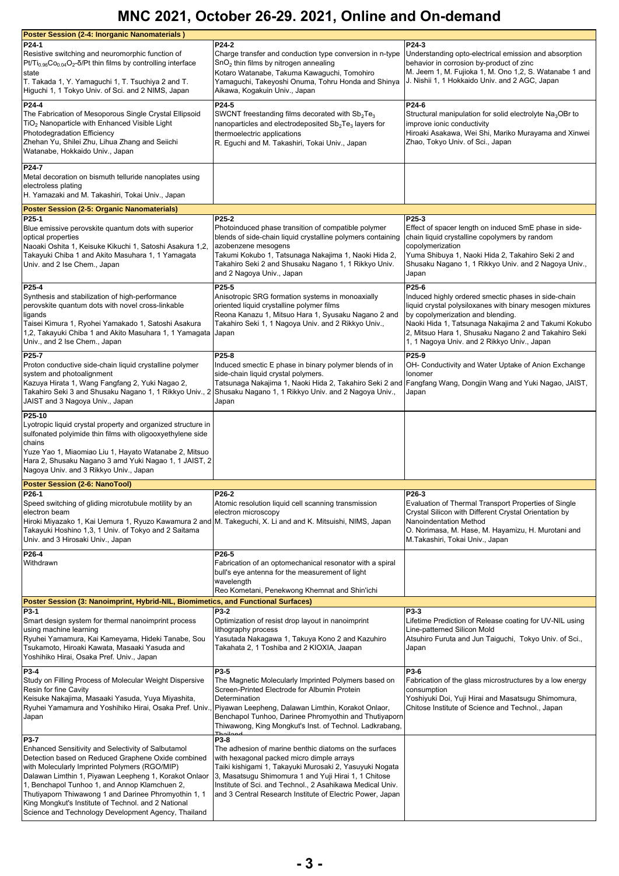| <b>Poster Session (2-4: Inorganic Nanomaterials)</b><br>P24-1<br>Resistive switching and neuromorphic function of<br>$Pt/Ti_{0.96}Co_{0.04}O_2$ - $\delta$ /Pt thin films by controlling interface<br>state<br>T. Takada 1, Y. Yamaguchi 1, T. Tsuchiya 2 and T.<br>Higuchi 1, 1 Tokyo Univ. of Sci. and 2 NIMS, Japan                                                                                                                            | P24-2<br>Charge transfer and conduction type conversion in n-type<br>$SnO2$ thin films by nitrogen annealing<br>Kotaro Watanabe, Takuma Kawaguchi, Tomohiro<br>Yamaguchi, Takeyoshi Onuma, Tohru Honda and Shinya<br>Aikawa, Kogakuin Univ., Japan                                                                                                       | P24-3<br>Understanding opto-electrical emission and absorption<br>behavior in corrosion by-product of zinc<br>M. Jeem 1, M. Fujioka 1, M. Ono 1,2, S. Watanabe 1 and<br>J. Nishii 1, 1 Hokkaido Univ. and 2 AGC, Japan                                                                                                        |
|---------------------------------------------------------------------------------------------------------------------------------------------------------------------------------------------------------------------------------------------------------------------------------------------------------------------------------------------------------------------------------------------------------------------------------------------------|----------------------------------------------------------------------------------------------------------------------------------------------------------------------------------------------------------------------------------------------------------------------------------------------------------------------------------------------------------|-------------------------------------------------------------------------------------------------------------------------------------------------------------------------------------------------------------------------------------------------------------------------------------------------------------------------------|
| P24-4<br>The Fabrication of Mesoporous Single Crystal Ellipsoid<br>$TiO2$ Nanoparticle with Enhanced Visible Light<br>Photodegradation Efficiency<br>Zhehan Yu, Shilei Zhu, Lihua Zhang and Seiichi<br>Watanabe, Hokkaido Univ., Japan                                                                                                                                                                                                            | P24-5<br>SWCNT freestanding films decorated with $Sb2Te3$<br>nanoparticles and electrodeposited Sb <sub>2</sub> Te <sub>3</sub> layers for<br>thermoelectric applications<br>R. Eguchi and M. Takashiri, Tokai Univ., Japan                                                                                                                              | P24-6<br>Structural manipulation for solid electrolyte $Na3OBr$ to<br>improve ionic conductivity<br>Hiroaki Asakawa, Wei Shi, Mariko Murayama and Xinwei<br>Zhao, Tokyo Univ. of Sci., Japan                                                                                                                                  |
| P24-7<br>Metal decoration on bismuth telluride nanoplates using<br>electroless plating<br>H. Yamazaki and M. Takashiri, Tokai Univ., Japan                                                                                                                                                                                                                                                                                                        |                                                                                                                                                                                                                                                                                                                                                          |                                                                                                                                                                                                                                                                                                                               |
| <b>Poster Session (2-5: Organic Nanomaterials)</b>                                                                                                                                                                                                                                                                                                                                                                                                |                                                                                                                                                                                                                                                                                                                                                          |                                                                                                                                                                                                                                                                                                                               |
| P25-1<br>Blue emissive perovskite quantum dots with superior<br>optical properties<br>Naoaki Oshita 1, Keisuke Kikuchi 1, Satoshi Asakura 1,2,<br>Takayuki Chiba 1 and Akito Masuhara 1, 1 Yamagata<br>Univ. and 2 Ise Chem., Japan                                                                                                                                                                                                               | P25-2<br>Photoinduced phase transition of compatible polymer<br>blends of side-chain liquid crystalline polymers containing<br>azobenzene mesogens<br>Takumi Kokubo 1, Tatsunaga Nakajima 1, Naoki Hida 2,<br>Takahiro Seki 2 and Shusaku Nagano 1, 1 Rikkyo Univ.<br>and 2 Nagoya Univ., Japan                                                          | P25-3<br>Effect of spacer length on induced SmE phase in side-<br>chain liquid crystalline copolymers by random<br>copolymerization<br>Yuma Shibuya 1, Naoki Hida 2, Takahiro Seki 2 and<br>Shusaku Nagano 1, 1 Rikkyo Univ. and 2 Nagoya Univ.,<br>Japan                                                                     |
| P25-4<br>Synthesis and stabilization of high-performance<br>perovskite quantum dots with novel cross-linkable<br>ligands<br>Taisei Kimura 1, Ryohei Yamakado 1, Satoshi Asakura<br>1,2, Takayuki Chiba 1 and Akito Masuhara 1, 1 Yamagata<br>Univ., and 2 Ise Chem., Japan                                                                                                                                                                        | P25-5<br>Anisotropic SRG formation systems in monoaxially<br>oriented liquid crystalline polymer films<br>Reona Kanazu 1, Mitsuo Hara 1, Syusaku Nagano 2 and<br>Takahiro Seki 1, 1 Nagoya Univ. and 2 Rikkyo Univ.,<br>Japan                                                                                                                            | P25-6<br>Induced highly ordered smectic phases in side-chain<br>liquid crystal polysiloxanes with binary mesogen mixtures<br>by copolymerization and blending.<br>Naoki Hida 1, Tatsunaga Nakajima 2 and Takumi Kokubo<br>2, Mitsuo Hara 1, Shusaku Nagano 2 and Takahiro Seki<br>1, 1 Nagoya Univ. and 2 Rikkyo Univ., Japan |
| P25-7<br>Proton conductive side-chain liquid crystalline polymer<br>system and photoalignment<br>Kazuya Hirata 1, Wang Fangfang 2, Yuki Nagao 2,<br>Takahiro Seki 3 and Shusaku Nagano 1, 1 Rikkyo Univ., 2<br>JAIST and 3 Nagoya Univ., Japan                                                                                                                                                                                                    | P25-8<br>Induced smectic E phase in binary polymer blends of in<br>side-chain liquid crystal polymers.<br>Tatsunaga Nakajima 1, Naoki Hida 2, Takahiro Seki 2 and  Fangfang Wang, Dongjin Wang and Yuki Nagao, JAIST,<br>Shusaku Nagano 1, 1 Rikkyo Univ. and 2 Nagoya Univ.,<br>Japan                                                                   | P25-9<br>OH- Conductivity and Water Uptake of Anion Exchange<br>Ionomer<br>Japan                                                                                                                                                                                                                                              |
| P25-10<br>Lyotropic liquid crystal property and organized structure in<br>sulfonated polyimide thin films with oligooxyethylene side<br>chains<br>Yuze Yao 1, Miaomiao Liu 1, Hayato Watanabe 2, Mitsuo<br>Hara 2, Shusaku Nagano 3 amd Yuki Nagao 1, 1 JAIST, 2<br>Nagoya Univ. and 3 Rikkyo Univ., Japan                                                                                                                                        |                                                                                                                                                                                                                                                                                                                                                          |                                                                                                                                                                                                                                                                                                                               |
| Poster Session (2-6: NanoTool)                                                                                                                                                                                                                                                                                                                                                                                                                    |                                                                                                                                                                                                                                                                                                                                                          |                                                                                                                                                                                                                                                                                                                               |
| P26-1<br>Speed switching of gliding microtubule motility by an<br>electron beam<br>Hiroki Miyazako 1, Kai Uemura 1, Ryuzo Kawamura 2 and<br>Takayuki Hoshino 1,3, 1 Univ. of Tokyo and 2 Saitama<br>Univ. and 3 Hirosaki Univ., Japan                                                                                                                                                                                                             | P26-2<br>Atomic resolution liquid cell scanning transmission<br>electron microscopy<br>M. Takeguchi, X. Li and and K. Mitsuishi, NIMS, Japan                                                                                                                                                                                                             | P26-3<br>Evaluation of Thermal Transport Properties of Single<br>Crystal Silicon with Different Crystal Orientation by<br>Nanoindentation Method<br>O. Norimasa, M. Hase, M. Hayamizu, H. Murotani and<br>M.Takashiri, Tokai Univ., Japan                                                                                     |
| P26-4<br>Withdrawn                                                                                                                                                                                                                                                                                                                                                                                                                                | P26-5<br>Fabrication of an optomechanical resonator with a spiral<br>bull's eye antenna for the measurement of light<br>wavelength<br>Reo Kometani, Penekwong Khemnat and Shin'ichi                                                                                                                                                                      |                                                                                                                                                                                                                                                                                                                               |
| Poster Session (3: Nanoimprint, Hybrid-NIL, Biomimetics, and Functional Surfaces)                                                                                                                                                                                                                                                                                                                                                                 |                                                                                                                                                                                                                                                                                                                                                          |                                                                                                                                                                                                                                                                                                                               |
| P3-1<br>Smart design system for thermal nanoimprint process<br>using machine learning<br>Ryuhei Yamamura, Kai Kameyama, Hideki Tanabe, Sou<br>Tsukamoto, Hiroaki Kawata, Masaaki Yasuda and<br>Yoshihiko Hirai, Osaka Pref. Univ., Japan                                                                                                                                                                                                          | P3-2<br>Optimization of resist drop layout in nanoimprint<br>lithography process<br>Yasutada Nakagawa 1, Takuya Kono 2 and Kazuhiro<br>Takahata 2, 1 Toshiba and 2 KIOXIA, Jaapan                                                                                                                                                                        | <b>P3-3</b><br>Lifetime Prediction of Release coating for UV-NIL using<br>Line-patterned Silicon Mold<br>Atsuhiro Furuta and Jun Taiguchi, Tokyo Univ. of Sci.,<br>Japan                                                                                                                                                      |
| P3-4<br>Study on Filling Process of Molecular Weight Dispersive<br>Resin for fine Cavity<br>Keisuke Nakajima, Masaaki Yasuda, Yuya Miyashita,<br>Ryuhei Yamamura and Yoshihiko Hirai, Osaka Pref. Univ.<br>Japan                                                                                                                                                                                                                                  | P3-5<br>The Magnetic Molecularly Imprinted Polymers based on<br>Screen-Printed Electrode for Albumin Protein<br>Determination<br>Piyawan Leepheng, Dalawan Limthin, Korakot Onlaor,<br>Benchapol Tunhoo, Darinee Phromyothin and Thutiyaporn<br>Thiwawong, King Mongkut's Inst. of Technol. Ladkrabang,<br>مانمطT                                        | P3-6<br>Fabrication of the glass microstructures by a low energy<br>consumption<br>Yoshiyuki Doi, Yuji Hirai and Masatsugu Shimomura,<br>Chitose Institute of Science and Technol., Japan                                                                                                                                     |
| P3-7<br>Enhanced Sensitivity and Selectivity of Salbutamol<br>Detection based on Reduced Graphene Oxide combined<br>with Molecularly Imprinted Polymers (RGO/MIP)<br>Dalawan Limthin 1, Piyawan Leepheng 1, Korakot Onlaor<br>1, Benchapol Tunhoo 1, and Annop Klamchuen 2,<br>Thutiyaporn Thiwawong 1 and Darinee Phromyothin 1, 1<br>King Mongkut's Institute of Technol. and 2 National<br>Science and Technology Development Agency, Thailand | P3-8<br>The adhesion of marine benthic diatoms on the surfaces<br>with hexagonal packed micro dimple arrays<br>Taiki kishigami 1, Takayuki Murosaki 2, Yasuyuki Nogata<br>3, Masatsugu Shimomura 1 and Yuji Hirai 1, 1 Chitose<br>Institute of Sci. and Technol., 2 Asahikawa Medical Univ.<br>and 3 Central Research Institute of Electric Power, Japan |                                                                                                                                                                                                                                                                                                                               |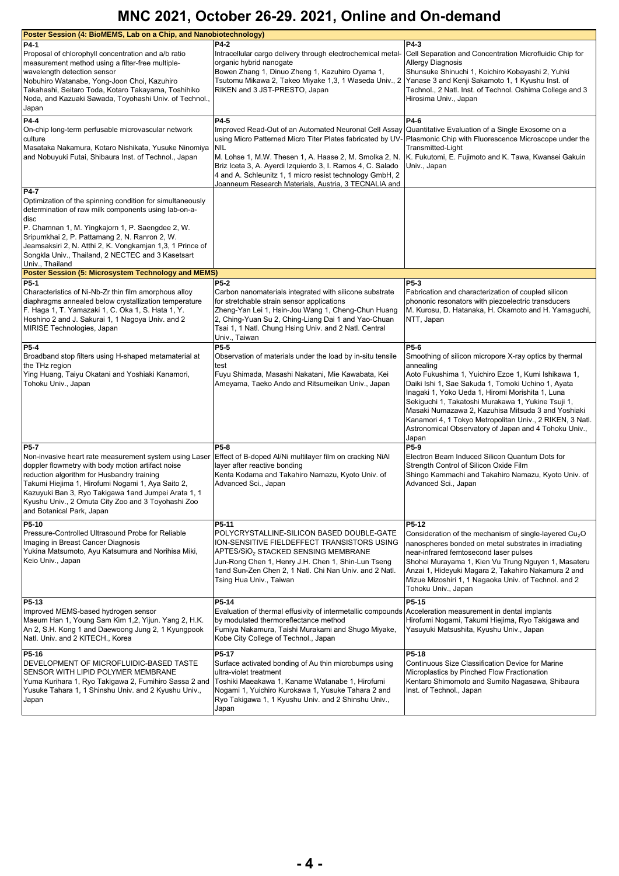| Poster Session (4: BioMEMS, Lab on a Chip, and Nanobiotechnology)                                                                                                                                                                                                                                                                                                                                                                         |                                                                                                                                                                                                                                                                                                                                                                                      |                                                                                                                                                                                                                                                                                                                                                                             |
|-------------------------------------------------------------------------------------------------------------------------------------------------------------------------------------------------------------------------------------------------------------------------------------------------------------------------------------------------------------------------------------------------------------------------------------------|--------------------------------------------------------------------------------------------------------------------------------------------------------------------------------------------------------------------------------------------------------------------------------------------------------------------------------------------------------------------------------------|-----------------------------------------------------------------------------------------------------------------------------------------------------------------------------------------------------------------------------------------------------------------------------------------------------------------------------------------------------------------------------|
| P4-1<br>Proposal of chlorophyll concentration and a/b ratio<br>measurement method using a filter-free multiple-                                                                                                                                                                                                                                                                                                                           | <b>P4-2</b><br>Intracellular cargo delivery through electrochemical metal-<br>organic hybrid nanogate                                                                                                                                                                                                                                                                                | P4-3<br>Cell Separation and Concentration Microfluidic Chip for<br><b>Allergy Diagnosis</b>                                                                                                                                                                                                                                                                                 |
| wavelength detection sensor<br>Nobuhiro Watanabe, Yong-Joon Choi, Kazuhiro<br>Takahashi, Seitaro Toda, Kotaro Takayama, Toshihiko<br>Noda, and Kazuaki Sawada, Toyohashi Univ. of Technol.,<br>Japan                                                                                                                                                                                                                                      | Bowen Zhang 1, Dinuo Zheng 1, Kazuhiro Oyama 1,<br>Tsutomu Mikawa 2, Takeo Miyake 1,3, 1 Waseda Univ., 2<br>RIKEN and 3 JST-PRESTO, Japan                                                                                                                                                                                                                                            | Shunsuke Shinuchi 1, Koichiro Kobayashi 2, Yuhki<br>Yanase 3 and Kenji Sakamoto 1, 1 Kyushu Inst. of<br>Technol., 2 Natl. Inst. of Technol. Oshima College and 3<br>Hirosima Univ., Japan                                                                                                                                                                                   |
| P4-4<br>On-chip long-term perfusable microvascular network<br>culture<br>Masataka Nakamura, Kotaro Nishikata, Yusuke Ninomiya<br>and Nobuyuki Futai, Shibaura Inst. of Technol., Japan                                                                                                                                                                                                                                                    | P4-5<br>Improved Read-Out of an Automated Neuronal Cell Assay<br>using Micro Patterned Micro Titer Plates fabricated by UV<br><b>NIL</b><br>M. Lohse 1, M.W. Thesen 1, A. Haase 2, M. Smolka 2, N.<br>Briz Iceta 3, A. Ayerdi Izquierdo 3, I. Ramos 4, C. Salado<br>4 and A. Schleunitz 1, 1 micro resist technology GmbH, 2<br>Joanneum Research Materials, Austria, 3 TECNALIA and | P4-6<br>Quantitative Evaluation of a Single Exosome on a<br>Plasmonic Chip with Fluorescence Microscope under the<br>Transmitted-Light<br>K. Fukutomi, E. Fujimoto and K. Tawa, Kwansei Gakuin<br>Univ., Japan                                                                                                                                                              |
| <b>P4-7</b><br>Optimization of the spinning condition for simultaneously<br>determination of raw milk components using lab-on-a-<br>disc<br>P. Chamnan 1, M. Yingkajorn 1, P. Saengdee 2, W.<br>Sripumkhai 2, P. Pattamang 2, N. Ranron 2, W.<br>Jeamsaksiri 2, N. Atthi 2, K. Vongkamjan 1,3, 1 Prince of<br>Songkla Univ., Thailand, 2 NECTEC and 3 Kasetsart<br>Univ., Thailand<br>Poster Session (5: Microsystem Technology and MEMS) |                                                                                                                                                                                                                                                                                                                                                                                      |                                                                                                                                                                                                                                                                                                                                                                             |
| P5-1                                                                                                                                                                                                                                                                                                                                                                                                                                      | <b>P5-2</b>                                                                                                                                                                                                                                                                                                                                                                          | $P5-3$                                                                                                                                                                                                                                                                                                                                                                      |
| Characteristics of Ni-Nb-Zr thin film amorphous alloy<br>diaphragms annealed below crystallization temperature<br>F. Haga 1, T. Yamazaki 1, C. Oka 1, S. Hata 1, Y.<br>Hoshino 2 and J. Sakurai 1, 1 Nagoya Univ. and 2<br>MIRISE Technologies, Japan                                                                                                                                                                                     | Carbon nanomaterials integrated with silicone substrate<br>for stretchable strain sensor applications<br>Zheng-Yan Lei 1, Hsin-Jou Wang 1, Cheng-Chun Huang<br>2, Ching-Yuan Su 2, Ching-Liang Dai 1 and Yao-Chuan<br>Tsai 1, 1 Natl. Chung Hsing Univ. and 2 Natl. Central<br>Univ., Taiwan                                                                                         | Fabrication and characterization of coupled silicon<br>phononic resonators with piezoelectric transducers<br>M. Kurosu, D. Hatanaka, H. Okamoto and H. Yamaguchi,<br>NTT, Japan                                                                                                                                                                                             |
| P5-4                                                                                                                                                                                                                                                                                                                                                                                                                                      | P5-5                                                                                                                                                                                                                                                                                                                                                                                 | P5-6                                                                                                                                                                                                                                                                                                                                                                        |
| Broadband stop filters using H-shaped metamaterial at<br>the THz region<br>Ying Huang, Taiyu Okatani and Yoshiaki Kanamori,                                                                                                                                                                                                                                                                                                               | Observation of materials under the load by in-situ tensile<br>test<br>Fuyu Shimada, Masashi Nakatani, Mie Kawabata, Kei                                                                                                                                                                                                                                                              | Smoothing of silicon micropore X-ray optics by thermal<br>annealing<br>Aoto Fukushima 1, Yuichiro Ezoe 1, Kumi Ishikawa 1,                                                                                                                                                                                                                                                  |
| Tohoku Univ., Japan                                                                                                                                                                                                                                                                                                                                                                                                                       | Ameyama, Taeko Ando and Ritsumeikan Univ., Japan                                                                                                                                                                                                                                                                                                                                     | Daiki Ishi 1, Sae Sakuda 1, Tomoki Uchino 1, Ayata<br>Inagaki 1, Yoko Ueda 1, Hiromi Morishita 1, Luna<br>Sekiguchi 1, Takatoshi Murakawa 1, Yukine Tsuji 1,<br>Masaki Numazawa 2, Kazuhisa Mitsuda 3 and Yoshiaki<br>Kanamori 4, 1 Tokyo Metropolitan Univ., 2 RIKEN, 3 Natl.<br>Astronomical Observatory of Japan and 4 Tohoku Univ.,<br>Japan                            |
| <b>P5-7</b><br>Non-invasive heart rate measurement system using Laser<br>doppler flowmetry with body motion artifact noise<br>reduction algorithm for Husbandry training<br>Takumi Hiejima 1, Hirofumi Nogami 1, Aya Saito 2,<br>Kazuyuki Ban 3, Ryo Takigawa 1and Jumpei Arata 1, 1<br>Kyushu Univ., 2 Omuta City Zoo and 3 Toyohashi Zoo<br>and Botanical Park, Japan                                                                   | P5-8<br>Effect of B-doped Al/Ni multilayer film on cracking NiAl<br>layer after reactive bonding<br>Kenta Kodama and Takahiro Namazu, Kyoto Univ. of<br>Advanced Sci., Japan                                                                                                                                                                                                         | P5-9<br>Electron Beam Induced Silicon Quantum Dots for<br>Strength Control of Silicon Oxide Film<br>Shingo Kammachi and Takahiro Namazu, Kyoto Univ. of<br>Advanced Sci., Japan                                                                                                                                                                                             |
| P5-10<br>Pressure-Controlled Ultrasound Probe for Reliable<br>Imaging in Breast Cancer Diagnosis<br>Yukina Matsumoto, Ayu Katsumura and Norihisa Miki,<br>Keio Univ., Japan                                                                                                                                                                                                                                                               | P5-11<br>POLYCRYSTALLINE-SILICON BASED DOUBLE-GATE<br>ION-SENSITIVE FIELDEFFECT TRANSISTORS USING<br>APTES/SiO2 STACKED SENSING MEMBRANE<br>Jun-Rong Chen 1, Henry J.H. Chen 1, Shin-Lun Tseng<br>1and Sun-Zen Chen 2, 1 Natl. Chi Nan Univ. and 2 Natl.<br>Tsing Hua Univ., Taiwan                                                                                                  | P5-12<br>Consideration of the mechanism of single-layered Cu <sub>2</sub> O<br>nanospheres bonded on metal substrates in irradiating<br>near-infrared femtosecond laser pulses<br>Shohei Murayama 1, Kien Vu Trung Nguyen 1, Masateru<br>Anzai 1, Hideyuki Magara 2, Takahiro Nakamura 2 and<br>Mizue Mizoshiri 1, 1 Nagaoka Univ. of Technol. and 2<br>Tohoku Univ., Japan |
| P5-13<br>Improved MEMS-based hydrogen sensor<br>Maeum Han 1, Young Sam Kim 1,2, Yijun. Yang 2, H.K.<br>An 2, S.H. Kong 1 and Daewoong Jung 2, 1 Kyungpook<br>Natl. Univ. and 2 KITECH., Korea                                                                                                                                                                                                                                             | P5-14<br>Evaluation of thermal effusivity of intermetallic compounds<br>by modulated thermoreflectance method<br>Fumiya Nakamura, Taishi Murakami and Shugo Miyake,<br>Kobe City College of Technol., Japan                                                                                                                                                                          | P5-15<br>Acceleration measurement in dental implants<br>Hirofumi Nogami, Takumi Hiejima, Ryo Takigawa and<br>Yasuyuki Matsushita, Kyushu Univ., Japan                                                                                                                                                                                                                       |
| P5-16<br>DEVELOPMENT OF MICROFLUIDIC-BASED TASTE<br>SENSOR WITH LIPID POLYMER MEMBRANE<br>Yuma Kurihara 1, Ryo Takigawa 2, Fumihiro Sassa 2 and<br>Yusuke Tahara 1, 1 Shinshu Univ. and 2 Kyushu Univ.,<br>Japan                                                                                                                                                                                                                          | P5-17<br>Surface activated bonding of Au thin microbumps using<br>ultra-violet treatment<br>Toshiki Maeakawa 1, Kaname Watanabe 1, Hirofumi<br>Nogami 1, Yuichiro Kurokawa 1, Yusuke Tahara 2 and<br>Ryo Takigawa 1, 1 Kyushu Univ. and 2 Shinshu Univ.,<br>Japan                                                                                                                    | P5-18<br>Continuous Size Classification Device for Marine<br>Microplastics by Pinched Flow Fractionation<br>Kentaro Shimomoto and Sumito Nagasawa, Shibaura<br>Inst. of Technol., Japan                                                                                                                                                                                     |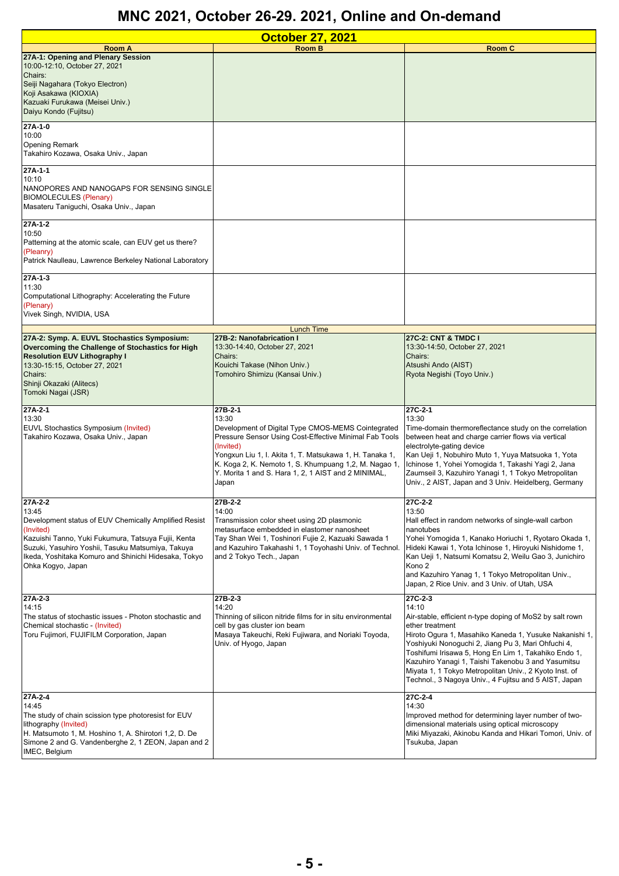| <b>October 27, 2021</b>                                                                                                                                                                                                                                                           |                                                                                                                                                                                                                                                                                                                                   |                                                                                                                                                                                                                                                                                                                                                                                                                                                  |
|-----------------------------------------------------------------------------------------------------------------------------------------------------------------------------------------------------------------------------------------------------------------------------------|-----------------------------------------------------------------------------------------------------------------------------------------------------------------------------------------------------------------------------------------------------------------------------------------------------------------------------------|--------------------------------------------------------------------------------------------------------------------------------------------------------------------------------------------------------------------------------------------------------------------------------------------------------------------------------------------------------------------------------------------------------------------------------------------------|
| <b>Room A</b>                                                                                                                                                                                                                                                                     | <b>Room B</b>                                                                                                                                                                                                                                                                                                                     | <b>Room C</b>                                                                                                                                                                                                                                                                                                                                                                                                                                    |
| 27A-1: Opening and Plenary Session<br>10:00-12:10, October 27, 2021<br>Chairs:<br>Seiji Nagahara (Tokyo Electron)<br>Koji Asakawa (KIOXIA)<br>Kazuaki Furukawa (Meisei Univ.)<br>Daiyu Kondo (Fujitsu)                                                                            |                                                                                                                                                                                                                                                                                                                                   |                                                                                                                                                                                                                                                                                                                                                                                                                                                  |
| 27A-1-0<br>10:00<br><b>Opening Remark</b><br>Takahiro Kozawa, Osaka Univ., Japan                                                                                                                                                                                                  |                                                                                                                                                                                                                                                                                                                                   |                                                                                                                                                                                                                                                                                                                                                                                                                                                  |
| 27A-1-1<br>10:10<br>NANOPORES AND NANOGAPS FOR SENSING SINGLE<br><b>BIOMOLECULES (Plenary)</b><br>Masateru Taniguchi, Osaka Univ., Japan                                                                                                                                          |                                                                                                                                                                                                                                                                                                                                   |                                                                                                                                                                                                                                                                                                                                                                                                                                                  |
| $27A-1-2$<br>10:50<br>Patterning at the atomic scale, can EUV get us there?<br>(Pleanry)<br>Patrick Naulleau, Lawrence Berkeley National Laboratory                                                                                                                               |                                                                                                                                                                                                                                                                                                                                   |                                                                                                                                                                                                                                                                                                                                                                                                                                                  |
| $27A-1-3$<br>11:30<br>Computational Lithography: Accelerating the Future<br>(Plenary)<br>Vivek Singh, NVIDIA, USA                                                                                                                                                                 |                                                                                                                                                                                                                                                                                                                                   |                                                                                                                                                                                                                                                                                                                                                                                                                                                  |
|                                                                                                                                                                                                                                                                                   | <b>Lunch Time</b>                                                                                                                                                                                                                                                                                                                 |                                                                                                                                                                                                                                                                                                                                                                                                                                                  |
| 27A-2: Symp. A. EUVL Stochastics Symposium:<br>Overcoming the Challenge of Stochastics for High<br><b>Resolution EUV Lithography I</b><br>13:30-15:15, October 27, 2021<br>Chairs:<br>Shinji Okazaki (Alitecs)<br>Tomoki Nagai (JSR)                                              | 27B-2: Nanofabrication I<br>13:30-14:40, October 27, 2021<br>Chairs:<br>Kouichi Takase (Nihon Univ.)<br>Tomohiro Shimizu (Kansai Univ.)                                                                                                                                                                                           | 27C-2: CNT & TMDC I<br>13:30-14:50, October 27, 2021<br>Chairs:<br>Atsushi Ando (AIST)<br>Ryota Negishi (Toyo Univ.)                                                                                                                                                                                                                                                                                                                             |
| $27A-2-1$<br>13:30<br>EUVL Stochastics Symposium (Invited)<br>Takahiro Kozawa, Osaka Univ., Japan                                                                                                                                                                                 | 27B-2-1<br>13:30<br>Development of Digital Type CMOS-MEMS Cointegrated<br>Pressure Sensor Using Cost-Effective Minimal Fab Tools<br>(Invited)<br>Yongxun Liu 1, I. Akita 1, T. Matsukawa 1, H. Tanaka 1,<br>K. Koga 2, K. Nemoto 1, S. Khumpuang 1,2, M. Nagao 1,<br>Y. Morita 1 and S. Hara 1, 2, 1 AIST and 2 MINIMAL,<br>Japan | 27C-2-1<br>13:30<br>Time-domain thermoreflectance study on the correlation<br>between heat and charge carrier flows via vertical<br>electrolyte-gating device<br>Kan Ueji 1, Nobuhiro Muto 1, Yuya Matsuoka 1, Yota<br>Ichinose 1, Yohei Yomogida 1, Takashi Yagi 2, Jana<br>Zaumseil 3, Kazuhiro Yanagi 1, 1 Tokyo Metropolitan<br>Univ., 2 AIST, Japan and 3 Univ. Heidelberg, Germany                                                         |
| $27A-2-2$<br>13:45<br>Development status of EUV Chemically Amplified Resist<br>(Invited)<br>Kazuishi Tanno, Yuki Fukumura, Tatsuya Fujii, Kenta<br>Suzuki, Yasuhiro Yoshii, Tasuku Matsumiya, Takuya<br>Ikeda, Yoshitaka Komuro and Shinichi Hidesaka, Tokyo<br>Ohka Kogyo, Japan | 27B-2-2<br>14:00<br>Transmission color sheet using 2D plasmonic<br>metasurface embedded in elastomer nanosheet<br>Tay Shan Wei 1, Toshinori Fujie 2, Kazuaki Sawada 1<br>and Kazuhiro Takahashi 1, 1 Toyohashi Univ. of Technol.<br>and 2 Tokyo Tech., Japan                                                                      | 27C-2-2<br>13:50<br>Hall effect in random networks of single-wall carbon<br>nanotubes<br>Yohei Yomogida 1, Kanako Horiuchi 1, Ryotaro Okada 1,<br>Hideki Kawai 1, Yota Ichinose 1, Hiroyuki Nishidome 1,<br>Kan Ueji 1, Natsumi Komatsu 2, Weilu Gao 3, Junichiro<br>Kono 2<br>and Kazuhiro Yanag 1, 1 Tokyo Metropolitan Univ.,<br>Japan, 2 Rice Univ. and 3 Univ. of Utah, USA                                                                 |
| $27A-2-3$<br>14:15<br>The status of stochastic issues - Photon stochastic and<br>Chemical stochastic - (Invited)<br>Toru Fujimori, FUJIFILM Corporation, Japan                                                                                                                    | 27B-2-3<br>14:20<br>Thinning of silicon nitride films for in situ environmental<br>cell by gas cluster ion beam<br>Masaya Takeuchi, Reki Fujiwara, and Noriaki Toyoda,<br>Univ. of Hyogo, Japan                                                                                                                                   | 27C-2-3<br>14:10<br>Air-stable, efficient n-type doping of MoS2 by salt rown<br>ether treatment<br>Hiroto Ogura 1, Masahiko Kaneda 1, Yusuke Nakanishi 1,<br>Yoshiyuki Nonoguchi 2, Jiang Pu 3, Mari Ohfuchi 4,<br>Toshifumi Irisawa 5, Hong En Lim 1, Takahiko Endo 1,<br>Kazuhiro Yanagi 1, Taishi Takenobu 3 and Yasumitsu<br>Miyata 1, 1 Tokyo Metropolitan Univ., 2 Kyoto Inst. of<br>Technol., 3 Nagoya Univ., 4 Fujitsu and 5 AIST, Japan |
| 27A-2-4<br>14:45<br>The study of chain scission type photoresist for EUV<br>lithography (Invited)<br>H. Matsumoto 1, M. Hoshino 1, A. Shirotori 1,2, D. De<br>Simone 2 and G. Vandenberghe 2, 1 ZEON, Japan and 2<br>IMEC, Belgium                                                |                                                                                                                                                                                                                                                                                                                                   | 27C-2-4<br>14:30<br>Improved method for determining layer number of two-<br>dimensional materials using optical microscopy<br>Miki Miyazaki, Akinobu Kanda and Hikari Tomori, Univ. of<br>Tsukuba, Japan                                                                                                                                                                                                                                         |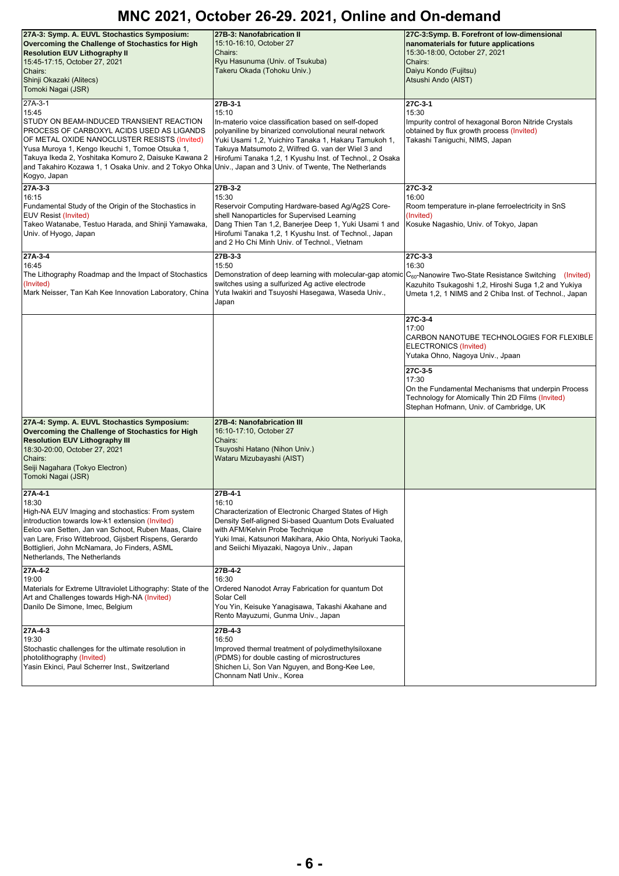| 27A-3: Symp. A. EUVL Stochastics Symposium:<br>Overcoming the Challenge of Stochastics for High<br><b>Resolution EUV Lithography II</b><br>15:45-17:15, October 27, 2021<br>Chairs:<br>Shinji Okazaki (Alitecs)<br>Tomoki Nagai (JSR)                                                                                                                                                             | 27B-3: Nanofabrication II<br>15:10-16:10, October 27<br>Chairs:<br>Ryu Hasunuma (Univ. of Tsukuba)<br>Takeru Okada (Tohoku Univ.)                                                                                                                                                                         | 27C-3:Symp. B. Forefront of low-dimensional<br>nanomaterials for future applications<br>15:30-18:00, October 27, 2021<br>Chairs:<br>Daiyu Kondo (Fujitsu)<br>Atsushi Ando (AIST) |
|---------------------------------------------------------------------------------------------------------------------------------------------------------------------------------------------------------------------------------------------------------------------------------------------------------------------------------------------------------------------------------------------------|-----------------------------------------------------------------------------------------------------------------------------------------------------------------------------------------------------------------------------------------------------------------------------------------------------------|----------------------------------------------------------------------------------------------------------------------------------------------------------------------------------|
| 27A-3-1<br>15:45<br>STUDY ON BEAM-INDUCED TRANSIENT REACTION<br>PROCESS OF CARBOXYL ACIDS USED AS LIGANDS<br>OF METAL OXIDE NANOCLUSTER RESISTS (Invited)<br>Yusa Muroya 1, Kengo Ikeuchi 1, Tomoe Otsuka 1,<br>Takuya Ikeda 2, Yoshitaka Komuro 2, Daisuke Kawana 2<br>and Takahiro Kozawa 1, 1 Osaka Univ. and 2 Tokyo Ohka Univ., Japan and 3 Univ. of Twente, The Netherlands<br>Kogyo, Japan | 27B-3-1<br>15:10<br>In-materio voice classification based on self-doped<br>polyaniline by binarized convolutional neural network<br>Yuki Usami 1,2, Yuichiro Tanaka 1, Hakaru Tamukoh 1,<br>Takuya Matsumoto 2, Wilfred G. van der Wiel 3 and<br>Hirofumi Tanaka 1,2, 1 Kyushu Inst. of Technol., 2 Osaka | 27C-3-1<br>15:30<br>Impurity control of hexagonal Boron Nitride Crystals<br>obtained by flux growth process (Invited)<br>Takashi Taniguchi, NIMS, Japan                          |
| 27A-3-3<br>16:15<br>Fundamental Study of the Origin of the Stochastics in<br><b>EUV Resist (Invited)</b><br>Takeo Watanabe, Testuo Harada, and Shinji Yamawaka,<br>Univ. of Hyogo, Japan                                                                                                                                                                                                          | 27B-3-2<br>15:30<br>Reservoir Computing Hardware-based Ag/Ag2S Core-<br>shell Nanoparticles for Supervised Learning<br>Dang Thien Tan 1,2, Banerjee Deep 1, Yuki Usami 1 and<br>Hirofumi Tanaka 1,2, 1 Kyushu Inst. of Technol., Japan<br>and 2 Ho Chi Minh Univ. of Technol., Vietnam                    | 27C-3-2<br>16:00<br>Room temperature in-plane ferroelectricity in SnS<br>(Invited)<br>Kosuke Nagashio, Univ. of Tokyo, Japan                                                     |
| 27A-3-4<br>16:45<br>The Lithography Roadmap and the Impact of Stochastics<br>(Invited)<br>Mark Neisser, Tan Kah Kee Innovation Laboratory, China                                                                                                                                                                                                                                                  | 27B-3-3<br>15:50<br>Demonstration of deep learning with molecular-gap atomic C <sub>60</sub> -Nanowire Two-State Resistance Switching (Invited)<br>switches using a sulfurized Ag active electrode<br>Yuta Iwakiri and Tsuyoshi Hasegawa, Waseda Univ.,<br>Japan                                          | $27C-3-3$<br>16:30<br>Kazuhito Tsukagoshi 1,2, Hiroshi Suga 1,2 and Yukiya<br>Umeta 1,2, 1 NIMS and 2 Chiba Inst. of Technol., Japan                                             |
|                                                                                                                                                                                                                                                                                                                                                                                                   |                                                                                                                                                                                                                                                                                                           | 27C-3-4<br>17:00<br>CARBON NANOTUBE TECHNOLOGIES FOR FLEXIBLE<br>ELECTRONICS (Invited)<br>Yutaka Ohno, Nagoya Univ., Jpaan                                                       |
|                                                                                                                                                                                                                                                                                                                                                                                                   |                                                                                                                                                                                                                                                                                                           | 27C-3-5<br>17:30<br>On the Fundamental Mechanisms that underpin Process<br>Technology for Atomically Thin 2D Films (Invited)<br>Stephan Hofmann, Univ. of Cambridge, UK          |
| 27A-4: Symp. A. EUVL Stochastics Symposium:<br>Overcoming the Challenge of Stochastics for High<br><b>Resolution EUV Lithography III</b><br>18:30-20:00, October 27, 2021<br>Chairs:<br>Seiji Nagahara (Tokyo Electron)<br>Tomoki Nagai (JSR)                                                                                                                                                     | 27B-4: Nanofabrication III<br>16:10-17:10, October 27<br>Chairs:<br>Tsuyoshi Hatano (Nihon Univ.)<br>Wataru Mizubayashi (AIST)                                                                                                                                                                            |                                                                                                                                                                                  |
| 27A-4-1<br>18:30<br>High-NA EUV Imaging and stochastics: From system<br>introduction towards low-k1 extension (Invited)<br>Eelco van Setten, Jan van Schoot, Ruben Maas, Claire<br>van Lare, Friso Wittebrood, Gijsbert Rispens, Gerardo<br>Bottiglieri, John McNamara, Jo Finders, ASML<br>Netherlands, The Netherlands                                                                          | 27B-4-1<br>16:10<br>Characterization of Electronic Charged States of High<br>Density Self-aligned Si-based Quantum Dots Evaluated<br>with AFM/Kelvin Probe Technique<br>Yuki Imai, Katsunori Makihara, Akio Ohta, Noriyuki Taoka,<br>and Seiichi Miyazaki, Nagoya Univ., Japan                            |                                                                                                                                                                                  |
| 27A-4-2<br>19:00<br>Materials for Extreme Ultraviolet Lithography: State of the<br>Art and Challenges towards High-NA (Invited)<br>Danilo De Simone, Imec, Belgium                                                                                                                                                                                                                                | 27B-4-2<br>16:30<br>Ordered Nanodot Array Fabrication for quantum Dot<br>Solar Cell<br>You Yin, Keisuke Yanagisawa, Takashi Akahane and<br>Rento Mayuzumi, Gunma Univ., Japan                                                                                                                             |                                                                                                                                                                                  |
| 27A-4-3<br>19:30<br>Stochastic challenges for the ultimate resolution in<br>photolithography (Invited)<br>Yasin Ekinci, Paul Scherrer Inst., Switzerland                                                                                                                                                                                                                                          | 27B-4-3<br>16:50<br>Improved thermal treatment of polydimethylsiloxane<br>(PDMS) for double casting of microstructures<br>Shichen Li, Son Van Nguyen, and Bong-Kee Lee,<br>Chonnam Natl Univ., Korea                                                                                                      |                                                                                                                                                                                  |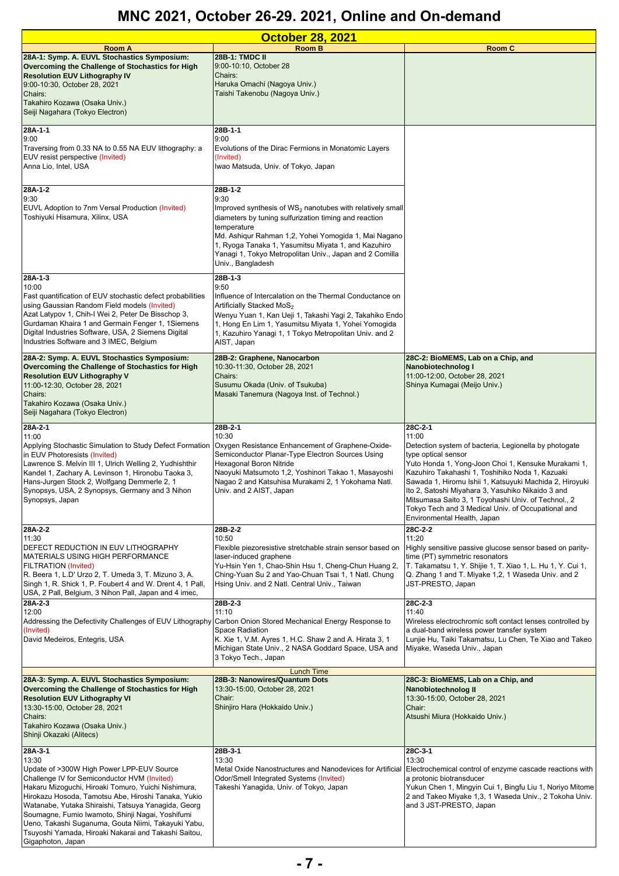| <b>October 28, 2021</b>                                                                                                                                                                                                                                                                                                                                                                                                                                                    |                                                                                                                                                                                                                                                                                                                                                        |                                                                                                                                                                                                                                                                                                                                                                                                                                                                        |
|----------------------------------------------------------------------------------------------------------------------------------------------------------------------------------------------------------------------------------------------------------------------------------------------------------------------------------------------------------------------------------------------------------------------------------------------------------------------------|--------------------------------------------------------------------------------------------------------------------------------------------------------------------------------------------------------------------------------------------------------------------------------------------------------------------------------------------------------|------------------------------------------------------------------------------------------------------------------------------------------------------------------------------------------------------------------------------------------------------------------------------------------------------------------------------------------------------------------------------------------------------------------------------------------------------------------------|
| Room A                                                                                                                                                                                                                                                                                                                                                                                                                                                                     | <b>Room B</b>                                                                                                                                                                                                                                                                                                                                          | <b>Room C</b>                                                                                                                                                                                                                                                                                                                                                                                                                                                          |
| 28A-1: Symp. A. EUVL Stochastics Symposium:<br>Overcoming the Challenge of Stochastics for High<br><b>Resolution EUV Lithography IV</b><br>9:00-10:30, October 28, 2021<br>Chairs:<br>Takahiro Kozawa (Osaka Univ.)<br>Seiji Nagahara (Tokyo Electron)                                                                                                                                                                                                                     | 28B-1: TMDC II<br>9:00-10:10, October 28<br>Chairs:<br>Haruka Omachi (Nagoya Univ.)<br>Taishi Takenobu (Nagoya Univ.)                                                                                                                                                                                                                                  |                                                                                                                                                                                                                                                                                                                                                                                                                                                                        |
|                                                                                                                                                                                                                                                                                                                                                                                                                                                                            |                                                                                                                                                                                                                                                                                                                                                        |                                                                                                                                                                                                                                                                                                                                                                                                                                                                        |
| 28A-1-1<br>9:00<br>Traversing from 0.33 NA to 0.55 NA EUV lithography: a<br>EUV resist perspective (Invited)<br>Anna Lio, Intel, USA                                                                                                                                                                                                                                                                                                                                       | 28B-1-1<br>9:00<br>Evolutions of the Dirac Fermions in Monatomic Layers<br>(Invited)<br>Iwao Matsuda, Univ. of Tokyo, Japan                                                                                                                                                                                                                            |                                                                                                                                                                                                                                                                                                                                                                                                                                                                        |
| 28A-1-2<br>9:30<br>EUVL Adoption to 7nm Versal Production (Invited)<br>Toshiyuki Hisamura, Xilinx, USA                                                                                                                                                                                                                                                                                                                                                                     | 28B-1-2<br>9:30<br>Improved synthesis of $WS_2$ nanotubes with relatively small<br>diameters by tuning sulfurization timing and reaction<br>temperature<br>Md. Ashiqur Rahman 1,2, Yohei Yomogida 1, Mai Nagano<br>1, Ryoga Tanaka 1, Yasumitsu Miyata 1, and Kazuhiro<br>Yanagi 1, Tokyo Metropolitan Univ., Japan and 2 Comilla<br>Univ., Bangladesh |                                                                                                                                                                                                                                                                                                                                                                                                                                                                        |
| 28A-1-3<br>10:00<br>Fast quantification of EUV stochastic defect probabilities<br>using Gaussian Random Field models (Invited)<br>Azat Latypov 1, Chih-I Wei 2, Peter De Bisschop 3,<br>Gurdaman Khaira 1 and Germain Fenger 1, 1Siemens<br>Digital Industries Software, USA, 2 Siemens Digital<br>Industries Software and 3 IMEC, Belgium                                                                                                                                 | 28B-1-3<br>9:50<br>Influence of Intercalation on the Thermal Conductance on<br>Artificially Stacked MoS <sub>2</sub><br>Wenyu Yuan 1, Kan Ueji 1, Takashi Yagi 2, Takahiko Endo<br>1, Hong En Lim 1, Yasumitsu Miyata 1, Yohei Yomogida<br>1, Kazuhiro Yanagi 1, 1 Tokyo Metropolitan Univ. and 2<br>AIST, Japan                                       |                                                                                                                                                                                                                                                                                                                                                                                                                                                                        |
| 28A-2: Symp. A. EUVL Stochastics Symposium:<br>Overcoming the Challenge of Stochastics for High<br><b>Resolution EUV Lithography V</b><br>11:00-12:30, October 28, 2021<br>Chairs:<br>Takahiro Kozawa (Osaka Univ.)<br>Seiji Nagahara (Tokyo Electron)                                                                                                                                                                                                                     | 28B-2: Graphene, Nanocarbon<br>10:30-11:30, October 28, 2021<br>Chairs:<br>Susumu Okada (Univ. of Tsukuba)<br>Masaki Tanemura (Nagoya Inst. of Technol.)                                                                                                                                                                                               | 28C-2: BioMEMS, Lab on a Chip, and<br>Nanobiotechnolog I<br>11:00-12:00, October 28, 2021<br>Shinya Kumagai (Meijo Univ.)                                                                                                                                                                                                                                                                                                                                              |
| 28A-2-1<br>11:00<br>Applying Stochastic Simulation to Study Defect Formation<br>in EUV Photoresists (Invited)<br>Lawrence S. Melvin III 1, Ulrich Welling 2, Yudhishthir<br>Kandel 1, Zachary A. Levinson 1, Hironobu Taoka 3,<br>Hans-Jurgen Stock 2, Wolfgang Demmerle 2, 1<br>Synopsys, USA, 2 Synopsys, Germany and 3 Nihon<br>Synopsys, Japan                                                                                                                         | 28B-2-1<br>10:30<br>Oxygen Resistance Enhancement of Graphene-Oxide-<br>Semiconductor Planar-Type Electron Sources Using<br>Hexagonal Boron Nitride<br>Naoyuki Matsumoto 1,2, Yoshinori Takao 1, Masayoshi<br>Nagao 2 and Katsuhisa Murakami 2, 1 Yokohama Natl.<br>Univ. and 2 AIST, Japan                                                            | 28C-2-1<br>11:00<br>Detection system of bacteria, Legionella by photogate<br>type optical sensor<br>Yuto Honda 1, Yong-Joon Choi 1, Kensuke Murakami 1,<br>Kazuhiro Takahashi 1, Toshihiko Noda 1, Kazuaki<br>Sawada 1, Hiromu Ishii 1, Katsuyuki Machida 2, Hiroyuki<br>Ito 2, Satoshi Miyahara 3, Yasuhiko Nikaido 3 and<br>Mitsumasa Saito 3, 1 Toyohashi Univ. of Technol., 2<br>Tokyo Tech and 3 Medical Univ. of Occupational and<br>Environmental Health, Japan |
| 28A-2-2<br>11:30<br>DEFECT REDUCTION IN EUV LITHOGRAPHY<br><b>MATERIALS USING HIGH PERFORMANCE</b><br><b>FILTRATION (Invited)</b><br>R. Beera 1, L.D' Urzo 2, T. Umeda 3, T. Mizuno 3, A.<br>Singh 1, R. Shick 1, P. Foubert 4 and W. Drent 4, 1 Pall,<br>USA, 2 Pall, Belgium, 3 Nihon Pall, Japan and 4 imec,                                                                                                                                                            | 28B-2-2<br>10:50<br>Flexible piezoresistive stretchable strain sensor based on<br>laser-induced graphene<br>Yu-Hsin Yen 1, Chao-Shin Hsu 1, Cheng-Chun Huang 2,<br>Ching-Yuan Su 2 and Yao-Chuan Tsai 1, 1 Natl. Chung<br>Hsing Univ. and 2 Natl. Central Univ., Taiwan                                                                                | 28C-2-2<br>11:20<br>Highly sensitive passive glucose sensor based on parity-<br>time (PT) symmetric resonators<br>T. Takamatsu 1, Y. Shijie 1, T. Xiao 1, L. Hu 1, Y. Cui 1,<br>Q. Zhang 1 and T. Miyake 1,2, 1 Waseda Univ. and 2<br>JST-PRESTO, Japan                                                                                                                                                                                                                |
| 28A-2-3<br>12:00<br>Addressing the Defectivity Challenges of EUV Lithography Carbon Onion Stored Mechanical Energy Response to<br>(Invited)<br>David Medeiros, Entegris, USA                                                                                                                                                                                                                                                                                               | 28B-2-3<br>11:10<br>Space Radiation<br>K. Xie 1, V.M. Ayres 1, H.C. Shaw 2 and A. Hirata 3, 1<br>Michigan State Univ., 2 NASA Goddard Space, USA and<br>3 Tokyo Tech., Japan                                                                                                                                                                           | 28C-2-3<br>11:40<br>Wireless electrochromic soft contact lenses controlled by<br>a dual-band wireless power transfer system<br>Lunjie Hu, Taiki Takamatsu, Lu Chen, Te Xiao and Takeo<br>Miyake, Waseda Univ., Japan                                                                                                                                                                                                                                                   |
| 28A-3: Symp. A. EUVL Stochastics Symposium:<br>Overcoming the Challenge of Stochastics for High<br><b>Resolution EUV Lithography VI</b><br>13:30-15:00, October 28, 2021<br>Chairs:<br>Takahiro Kozawa (Osaka Univ.)<br>Shinji Okazaki (Alitecs)                                                                                                                                                                                                                           | <b>Lunch Time</b><br>28B-3: Nanowires/Quantum Dots<br>13:30-15:00, October 28, 2021<br>Chair:<br>Shinjiro Hara (Hokkaido Univ.)                                                                                                                                                                                                                        | 28C-3: BioMEMS, Lab on a Chip, and<br>Nanobiotechnolog II<br>13:30-15:00, October 28, 2021<br>Chair:<br>Atsushi Miura (Hokkaido Univ.)                                                                                                                                                                                                                                                                                                                                 |
| 28A-3-1<br>13:30<br>Update of >300W High Power LPP-EUV Source<br>Challenge IV for Semiconductor HVM (Invited)<br>Hakaru Mizoguchi, Hiroaki Tomuro, Yuichi Nishimura,<br>Hirokazu Hosoda, Tamotsu Abe, Hiroshi Tanaka, Yukio<br>Watanabe, Yutaka Shiraishi, Tatsuya Yanagida, Georg<br>Soumagne, Fumio Iwamoto, Shinji Nagai, Yoshifumi<br>Ueno, Takashi Suganuma, Gouta Niimi, Takayuki Yabu,<br>Tsuyoshi Yamada, Hiroaki Nakarai and Takashi Saitou,<br>Gigaphoton, Japan | 28B-3-1<br>13:30<br>Metal Oxide Nanostructures and Nanodevices for Artificial<br>Odor/Smell Integrated Systems (Invited)<br>Takeshi Yanagida, Univ. of Tokyo, Japan                                                                                                                                                                                    | 28C-3-1<br>13:30<br>Electrochemical control of enzyme cascade reactions with<br>a protonic biotransducer<br>Yukun Chen 1, Mingyin Cui 1, Bingfu Liu 1, Noriyo Mitome<br>2 and Takeo Miyake 1,3, 1 Waseda Univ., 2 Tokoha Univ.<br>and 3 JST-PRESTO, Japan                                                                                                                                                                                                              |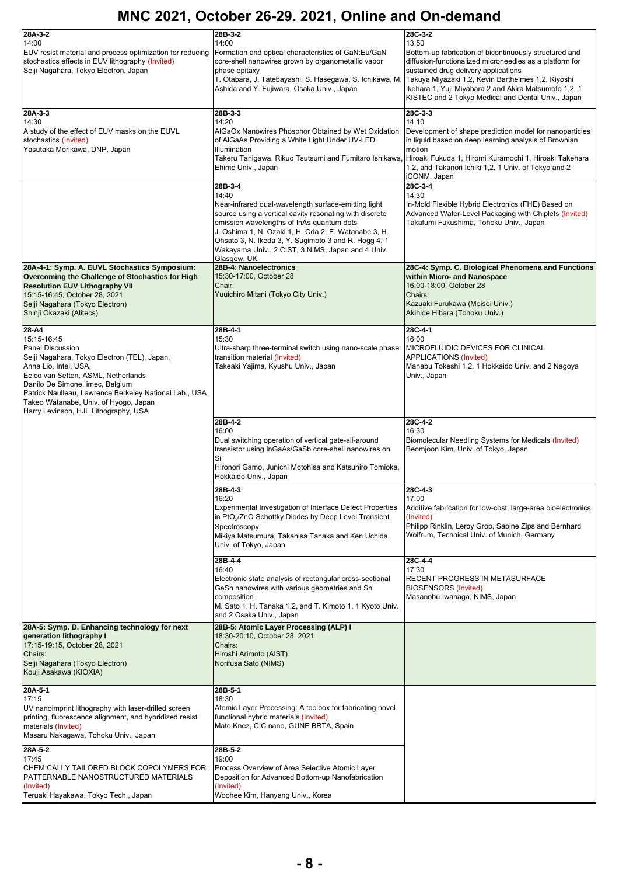| 28A-3-2<br>14:00<br>EUV resist material and process optimization for reducing<br>stochastics effects in EUV lithography (Invited)<br>Seiji Nagahara, Tokyo Electron, Japan                                                                                                                                                                    | 28B-3-2<br>14:00<br>Formation and optical characteristics of GaN:Eu/GaN<br>core-shell nanowires grown by organometallic vapor<br>phase epitaxy<br>T. Otabara, J. Tatebayashi, S. Hasegawa, S. Ichikawa, M.<br>Ashida and Y. Fujiwara, Osaka Univ., Japan                                                                                                             | 28C-3-2<br>13:50<br>Bottom-up fabrication of bicontinuously structured and<br>diffusion-functionalized microneedles as a platform for<br>sustained drug delivery applications<br>Takuya Miyazaki 1,2, Kevin Barthelmes 1,2, Kiyoshi<br>Ikehara 1, Yuji Miyahara 2 and Akira Matsumoto 1,2, 1<br>KISTEC and 2 Tokyo Medical and Dental Univ., Japan |
|-----------------------------------------------------------------------------------------------------------------------------------------------------------------------------------------------------------------------------------------------------------------------------------------------------------------------------------------------|----------------------------------------------------------------------------------------------------------------------------------------------------------------------------------------------------------------------------------------------------------------------------------------------------------------------------------------------------------------------|----------------------------------------------------------------------------------------------------------------------------------------------------------------------------------------------------------------------------------------------------------------------------------------------------------------------------------------------------|
| 28A-3-3<br>14:30<br>A study of the effect of EUV masks on the EUVL<br>stochastics (Invited)<br>Yasutaka Morikawa, DNP, Japan                                                                                                                                                                                                                  | 28B-3-3<br>14:20<br>AIGaOx Nanowires Phosphor Obtained by Wet Oxidation<br>of AIGaAs Providing a White Light Under UV-LED<br><b>Illumination</b><br>Takeru Tanigawa, Rikuo Tsutsumi and Fumitaro Ishikawa,<br>Ehime Univ., Japan                                                                                                                                     | 28C-3-3<br>14:10<br>Development of shape prediction model for nanoparticles<br>in liquid based on deep learning analysis of Brownian<br>motion<br>Hiroaki Fukuda 1, Hiromi Kuramochi 1, Hiroaki Takehara<br>1,2, and Takanori Ichiki 1,2, 1 Univ. of Tokyo and 2<br>iCONM, Japan                                                                   |
|                                                                                                                                                                                                                                                                                                                                               | 28B-3-4<br>14:40<br>Near-infrared dual-wavelength surface-emitting light<br>source using a vertical cavity resonating with discrete<br>emission wavelengths of InAs quantum dots<br>J. Oshima 1, N. Ozaki 1, H. Oda 2, E. Watanabe 3, H.<br>Ohsato 3, N. Ikeda 3, Y. Sugimoto 3 and R. Hogg 4, 1<br>Wakayama Univ., 2 CIST, 3 NIMS, Japan and 4 Univ.<br>Glasgow, UK | 28C-3-4<br>14:30<br>In-Mold Flexible Hybrid Electronics (FHE) Based on<br>Advanced Wafer-Level Packaging with Chiplets (Invited)<br>Takafumi Fukushima, Tohoku Univ., Japan                                                                                                                                                                        |
| 28A-4-1: Symp. A. EUVL Stochastics Symposium:<br>Overcoming the Challenge of Stochastics for High<br><b>Resolution EUV Lithography VII</b><br>15:15-16:45, October 28, 2021<br>Seiji Nagahara (Tokyo Electron)<br>Shinji Okazaki (Alitecs)                                                                                                    | 28B-4: Nanoelectronics<br>15:30-17:00, October 28<br>Chair:<br>Yuuichiro Mitani (Tokyo City Univ.)                                                                                                                                                                                                                                                                   | 28C-4: Symp. C. Biological Phenomena and Functions<br>within Micro- and Nanospace<br>16:00-18:00, October 28<br>Chairs:<br>Kazuaki Furukawa (Meisei Univ.)<br>Akihide Hibara (Tohoku Univ.)                                                                                                                                                        |
| 28-A4<br>15:15-16:45<br><b>Panel Discussion</b><br>Seiji Nagahara, Tokyo Electron (TEL), Japan,<br>Anna Lio, Intel, USA,<br>Eelco van Setten, ASML, Netherlands<br>Danilo De Simone, imec, Belgium<br>Patrick Naulleau, Lawrence Berkeley National Lab., USA<br>Takeo Watanabe, Univ. of Hyogo, Japan<br>Harry Levinson, HJL Lithography, USA | 28B-4-1<br>15:30<br>Ultra-sharp three-terminal switch using nano-scale phase<br>transition material (Invited)<br>Takeaki Yajima, Kyushu Univ., Japan                                                                                                                                                                                                                 | 28C-4-1<br>16:00<br>MICROFLUIDIC DEVICES FOR CLINICAL<br>APPLICATIONS (Invited)<br>Manabu Tokeshi 1,2, 1 Hokkaido Univ. and 2 Nagoya<br>Univ., Japan                                                                                                                                                                                               |
|                                                                                                                                                                                                                                                                                                                                               | 28B-4-2<br>16:00<br>Dual switching operation of vertical gate-all-around<br>transistor using InGaAs/GaSb core-shell nanowires on<br>Si<br>Hironori Gamo, Junichi Motohisa and Katsuhiro Tomioka,<br>Hokkaido Univ., Japan                                                                                                                                            | 28C-4-2<br>16:30<br>Biomolecular Needling Systems for Medicals (Invited)<br>Beomjoon Kim, Univ. of Tokyo, Japan                                                                                                                                                                                                                                    |
|                                                                                                                                                                                                                                                                                                                                               | 28B-4-3<br>16:20<br><b>Experimental Investigation of Interface Defect Properties</b><br>in PtO <sub>x</sub> /ZnO Schottky Diodes by Deep Level Transient<br>Spectroscopy<br>Mikiya Matsumura, Takahisa Tanaka and Ken Uchida,<br>Univ. of Tokyo, Japan                                                                                                               | $28C-4-3$<br>17:00<br>Additive fabrication for low-cost, large-area bioelectronics<br>(Invited)<br>Philipp Rinklin, Leroy Grob, Sabine Zips and Bernhard<br>Wolfrum, Technical Univ. of Munich, Germany                                                                                                                                            |
|                                                                                                                                                                                                                                                                                                                                               | 28B-4-4<br>16:40<br>Electronic state analysis of rectangular cross-sectional<br>GeSn nanowires with various geometries and Sn<br>composition<br>M. Sato 1, H. Tanaka 1,2, and T. Kimoto 1, 1 Kyoto Univ.<br>and 2 Osaka Univ., Japan                                                                                                                                 | 28C-4-4<br>17:30<br>RECENT PROGRESS IN METASURFACE<br><b>BIOSENSORS (Invited)</b><br>Masanobu Iwanaga, NIMS, Japan                                                                                                                                                                                                                                 |
| 28A-5: Symp. D. Enhancing technology for next<br>generation lithography I<br>17:15-19:15, October 28, 2021<br>Chairs:<br>Seiji Nagahara (Tokyo Electron)<br>Kouji Asakawa (KIOXIA)                                                                                                                                                            | 28B-5: Atomic Layer Processing (ALP) I<br>18:30-20:10, October 28, 2021<br>Chairs:<br>Hiroshi Arimoto (AIST)<br>Norifusa Sato (NIMS)                                                                                                                                                                                                                                 |                                                                                                                                                                                                                                                                                                                                                    |
| 28A-5-1<br>17:15<br>UV nanoimprint lithography with laser-drilled screen<br>printing, fluorescence alignment, and hybridized resist<br>materials (Invited)<br>Masaru Nakagawa, Tohoku Univ., Japan                                                                                                                                            | 28B-5-1<br>18:30<br>Atomic Layer Processing: A toolbox for fabricating novel<br>functional hybrid materials (Invited)<br>Mato Knez, CIC nano, GUNE BRTA, Spain                                                                                                                                                                                                       |                                                                                                                                                                                                                                                                                                                                                    |
| 28A-5-2<br>17:45<br>CHEMICALLY TAILORED BLOCK COPOLYMERS FOR<br>PATTERNABLE NANOSTRUCTURED MATERIALS<br>(Invited)<br>Teruaki Hayakawa, Tokyo Tech., Japan                                                                                                                                                                                     | 28B-5-2<br>19:00<br>Process Overview of Area Selective Atomic Layer<br>Deposition for Advanced Bottom-up Nanofabrication<br>(Invited)<br>Woohee Kim, Hanyang Univ., Korea                                                                                                                                                                                            |                                                                                                                                                                                                                                                                                                                                                    |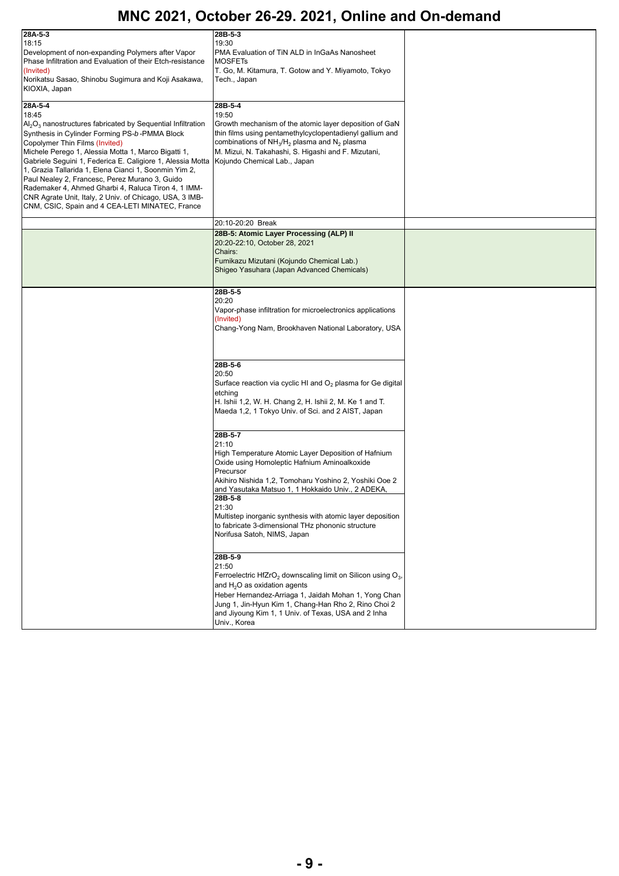| 28A-5-3<br>18:15<br>Development of non-expanding Polymers after Vapor<br>Phase Infiltration and Evaluation of their Etch-resistance<br>(Invited)<br>Norikatsu Sasao, Shinobu Sugimura and Koji Asakawa,<br>KIOXIA, Japan<br>28A-5-4                                                                                                                                                                                                                                                                                                                                           | 28B-5-3<br>19:30<br>PMA Evaluation of TiN ALD in InGaAs Nanosheet<br><b>MOSFETS</b><br>T. Go, M. Kitamura, T. Gotow and Y. Miyamoto, Tokyo<br>Tech., Japan<br>28B-5-4                                                                                                                                                                                                                                                    |  |
|-------------------------------------------------------------------------------------------------------------------------------------------------------------------------------------------------------------------------------------------------------------------------------------------------------------------------------------------------------------------------------------------------------------------------------------------------------------------------------------------------------------------------------------------------------------------------------|--------------------------------------------------------------------------------------------------------------------------------------------------------------------------------------------------------------------------------------------------------------------------------------------------------------------------------------------------------------------------------------------------------------------------|--|
| 18:45<br>$\text{Al}_2\text{O}_3$ nanostructures fabricated by Sequential Infiltration<br>Synthesis in Cylinder Forming PS-b-PMMA Block<br>Copolymer Thin Films (Invited)<br>Michele Perego 1, Alessia Motta 1, Marco Bigatti 1,<br>Gabriele Seguini 1, Federica E. Caligiore 1, Alessia Motta<br>1, Grazia Tallarida 1, Elena Cianci 1, Soonmin Yim 2,<br>Paul Nealey 2, Francesc, Perez Murano 3, Guido<br>Rademaker 4, Ahmed Gharbi 4, Raluca Tiron 4, 1 IMM-<br>CNR Agrate Unit, Italy, 2 Univ. of Chicago, USA, 3 IMB-<br>CNM, CSIC, Spain and 4 CEA-LETI MINATEC, France | 19:50<br>Growth mechanism of the atomic layer deposition of GaN<br>thin films using pentamethylcyclopentadienyl gallium and<br>combinations of NH <sub>3</sub> /H <sub>2</sub> plasma and N <sub>2</sub> plasma<br>M. Mizui, N. Takahashi, S. Higashi and F. Mizutani,<br>Kojundo Chemical Lab., Japan                                                                                                                   |  |
|                                                                                                                                                                                                                                                                                                                                                                                                                                                                                                                                                                               | 20:10-20:20 Break                                                                                                                                                                                                                                                                                                                                                                                                        |  |
|                                                                                                                                                                                                                                                                                                                                                                                                                                                                                                                                                                               | 28B-5: Atomic Layer Processing (ALP) II<br>20:20-22:10, October 28, 2021<br>Chairs:<br>Fumikazu Mizutani (Kojundo Chemical Lab.)<br>Shigeo Yasuhara (Japan Advanced Chemicals)                                                                                                                                                                                                                                           |  |
|                                                                                                                                                                                                                                                                                                                                                                                                                                                                                                                                                                               | 28B-5-5<br>20:20<br>Vapor-phase infiltration for microelectronics applications<br>(Invited)<br>Chang-Yong Nam, Brookhaven National Laboratory, USA                                                                                                                                                                                                                                                                       |  |
|                                                                                                                                                                                                                                                                                                                                                                                                                                                                                                                                                                               | 28B-5-6<br>20:50<br>Surface reaction via cyclic HI and $O_2$ plasma for Ge digital<br>etching<br>H. Ishii 1,2, W. H. Chang 2, H. Ishii 2, M. Ke 1 and T.<br>Maeda 1,2, 1 Tokyo Univ. of Sci. and 2 AIST, Japan                                                                                                                                                                                                           |  |
|                                                                                                                                                                                                                                                                                                                                                                                                                                                                                                                                                                               | 28B-5-7<br>21:10<br>High Temperature Atomic Layer Deposition of Hafnium<br>Oxide using Homoleptic Hafnium Aminoalkoxide<br>Precursor<br>Akihiro Nishida 1,2, Tomoharu Yoshino 2, Yoshiki Ooe 2<br>and Yasutaka Matsuo 1, 1 Hokkaido Univ., 2 ADEKA<br>28B-5-8<br>21:30<br>Multistep inorganic synthesis with atomic layer deposition<br>to fabricate 3-dimensional THz phononic structure<br>Norifusa Satoh, NIMS, Japan |  |
|                                                                                                                                                                                                                                                                                                                                                                                                                                                                                                                                                                               | 28B-5-9<br>21:50<br>Ferroelectric HfZrO <sub>2</sub> downscaling limit on Silicon using O <sub>3</sub> ,<br>and $H2O$ as oxidation agents<br>Heber Hernandez-Arriaga 1, Jaidah Mohan 1, Yong Chan<br>Jung 1, Jin-Hyun Kim 1, Chang-Han Rho 2, Rino Choi 2<br>and Jiyoung Kim 1, 1 Univ. of Texas, USA and 2 Inha<br>Univ., Korea                                                                                         |  |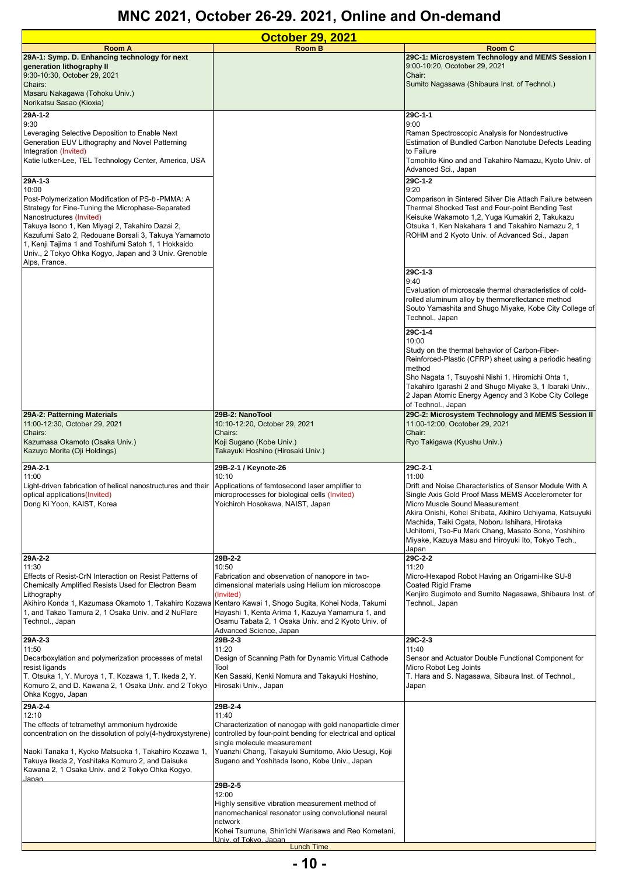| <b>October 29, 2021</b>                                                                                                                                      |                                                                                                         |                                                                                                                  |
|--------------------------------------------------------------------------------------------------------------------------------------------------------------|---------------------------------------------------------------------------------------------------------|------------------------------------------------------------------------------------------------------------------|
| <b>Room A</b>                                                                                                                                                | <b>Room B</b>                                                                                           | Room C                                                                                                           |
| 29A-1: Symp. D. Enhancing technology for next<br>generation lithography II                                                                                   |                                                                                                         | 29C-1: Microsystem Technology and MEMS Session I<br>9:00-10:20, Ocotober 29, 2021                                |
| 9:30-10:30, October 29, 2021                                                                                                                                 |                                                                                                         | Chair:                                                                                                           |
| Chairs:                                                                                                                                                      |                                                                                                         | Sumito Nagasawa (Shibaura Inst. of Technol.)                                                                     |
| Masaru Nakagawa (Tohoku Univ.)                                                                                                                               |                                                                                                         |                                                                                                                  |
| Norikatsu Sasao (Kioxia)                                                                                                                                     |                                                                                                         |                                                                                                                  |
| 29A-1-2<br>9:30                                                                                                                                              |                                                                                                         | 29C-1-1<br>9:00                                                                                                  |
| Leveraging Selective Deposition to Enable Next                                                                                                               |                                                                                                         | Raman Spectroscopic Analysis for Nondestructive                                                                  |
| Generation EUV Lithography and Novel Patterning                                                                                                              |                                                                                                         | Estimation of Bundled Carbon Nanotube Defects Leading                                                            |
| Integration (Invited)<br>Katie lutker-Lee, TEL Technology Center, America, USA                                                                               |                                                                                                         | to Failure<br>Tomohito Kino and and Takahiro Namazu, Kyoto Univ. of                                              |
|                                                                                                                                                              |                                                                                                         | Advanced Sci., Japan                                                                                             |
| 29A-1-3                                                                                                                                                      |                                                                                                         | 29C-1-2                                                                                                          |
| 10:00                                                                                                                                                        |                                                                                                         | 9:20                                                                                                             |
| Post-Polymerization Modification of PS-b-PMMA: A<br>Strategy for Fine-Tuning the Microphase-Separated                                                        |                                                                                                         | Comparison in Sintered Silver Die Attach Failure between<br>Thermal Shocked Test and Four-point Bending Test     |
| Nanostructures (Invited)                                                                                                                                     |                                                                                                         | Keisuke Wakamoto 1,2, Yuga Kumakiri 2, Takukazu                                                                  |
| Takuya Isono 1, Ken Miyagi 2, Takahiro Dazai 2,                                                                                                              |                                                                                                         | Otsuka 1, Ken Nakahara 1 and Takahiro Namazu 2, 1                                                                |
| Kazufumi Sato 2, Redouane Borsali 3, Takuya Yamamoto<br>1, Kenji Tajima 1 and Toshifumi Satoh 1, 1 Hokkaido                                                  |                                                                                                         | ROHM and 2 Kyoto Univ. of Advanced Sci., Japan                                                                   |
| Univ., 2 Tokyo Ohka Kogyo, Japan and 3 Univ. Grenoble                                                                                                        |                                                                                                         |                                                                                                                  |
| Alps, France.                                                                                                                                                |                                                                                                         |                                                                                                                  |
|                                                                                                                                                              |                                                                                                         | 29C-1-3                                                                                                          |
|                                                                                                                                                              |                                                                                                         | 9:40<br>Evaluation of microscale thermal characteristics of cold-                                                |
|                                                                                                                                                              |                                                                                                         | rolled aluminum alloy by thermoreflectance method                                                                |
|                                                                                                                                                              |                                                                                                         | Souto Yamashita and Shugo Miyake, Kobe City College of                                                           |
|                                                                                                                                                              |                                                                                                         | Technol., Japan                                                                                                  |
|                                                                                                                                                              |                                                                                                         | 29C-1-4                                                                                                          |
|                                                                                                                                                              |                                                                                                         | 10:00<br>Study on the thermal behavior of Carbon-Fiber-                                                          |
|                                                                                                                                                              |                                                                                                         | Reinforced-Plastic (CFRP) sheet using a periodic heating                                                         |
|                                                                                                                                                              |                                                                                                         | method                                                                                                           |
|                                                                                                                                                              |                                                                                                         | Sho Nagata 1, Tsuyoshi Nishi 1, Hiromichi Ohta 1,                                                                |
|                                                                                                                                                              |                                                                                                         | Takahiro Igarashi 2 and Shugo Miyake 3, 1 Ibaraki Univ.,<br>2 Japan Atomic Energy Agency and 3 Kobe City College |
|                                                                                                                                                              |                                                                                                         | of Technol., Japan                                                                                               |
| 29A-2: Patterning Materials                                                                                                                                  | 29B-2: NanoTool                                                                                         | 29C-2: Microsystem Technology and MEMS Session II                                                                |
| 11:00-12:30, October 29, 2021<br>Chairs:                                                                                                                     | 10:10-12:20, October 29, 2021<br>Chairs:                                                                | 11:00-12:00, Ocotober 29, 2021<br>Chair:                                                                         |
| Kazumasa Okamoto (Osaka Univ.)                                                                                                                               | Koji Sugano (Kobe Univ.)                                                                                | Ryo Takigawa (Kyushu Univ.)                                                                                      |
| Kazuyo Morita (Oji Holdings)                                                                                                                                 | Takayuki Hoshino (Hirosaki Univ.)                                                                       |                                                                                                                  |
| 29A-2-1                                                                                                                                                      | 29B-2-1 / Keynote-26                                                                                    | 29C-2-1                                                                                                          |
| 11:00                                                                                                                                                        | 10:10                                                                                                   | 11:00                                                                                                            |
| Light-driven fabrication of helical nanostructures and their                                                                                                 | Applications of femtosecond laser amplifier to                                                          | Drift and Noise Characteristics of Sensor Module With A                                                          |
| optical applications(Invited)<br>Dong Ki Yoon, KAIST, Korea                                                                                                  | microprocesses for biological cells (Invited)<br>Yoichiroh Hosokawa, NAIST, Japan                       | Single Axis Gold Proof Mass MEMS Accelerometer for<br>Micro Muscle Sound Measurement                             |
|                                                                                                                                                              |                                                                                                         | Akira Onishi, Kohei Shibata, Akihiro Uchiyama, Katsuyuki                                                         |
|                                                                                                                                                              |                                                                                                         | Machida, Taiki Ogata, Noboru Ishihara, Hirotaka                                                                  |
|                                                                                                                                                              |                                                                                                         | Uchitomi, Tso-Fu Mark Chang, Masato Sone, Yoshihiro<br>Miyake, Kazuya Masu and Hiroyuki Ito, Tokyo Tech.,        |
|                                                                                                                                                              |                                                                                                         | Japan                                                                                                            |
| 29A-2-2                                                                                                                                                      | 29B-2-2                                                                                                 | 29C-2-2                                                                                                          |
| 11:30<br>Effects of Resist-CrN Interaction on Resist Patterns of                                                                                             | 10:50<br>Fabrication and observation of nanopore in two-                                                | 11:20<br>Micro-Hexapod Robot Having an Origami-like SU-8                                                         |
| Chemically Amplified Resists Used for Electron Beam                                                                                                          | dimensional materials using Helium ion microscope                                                       | Coated Rigid Frame                                                                                               |
| Lithography                                                                                                                                                  | (Invited)                                                                                               | Kenjiro Sugimoto and Sumito Nagasawa, Shibaura Inst. of                                                          |
| Akihiro Konda 1, Kazumasa Okamoto 1, Takahiro Kozawa Kentaro Kawai 1, Shogo Sugita, Kohei Noda, Takumi<br>1, and Takao Tamura 2, 1 Osaka Univ. and 2 NuFlare | Hayashi 1, Kenta Arima 1, Kazuya Yamamura 1, and                                                        | Technol., Japan                                                                                                  |
| Technol., Japan                                                                                                                                              | Osamu Tabata 2, 1 Osaka Univ. and 2 Kyoto Univ. of                                                      |                                                                                                                  |
|                                                                                                                                                              | Advanced Science, Japan                                                                                 |                                                                                                                  |
| 29A-2-3                                                                                                                                                      | 29B-2-3                                                                                                 | 29C-2-3                                                                                                          |
| 11:50<br>Decarboxylation and polymerization processes of metal                                                                                               | 11:20<br>Design of Scanning Path for Dynamic Virtual Cathode                                            | 11:40<br>Sensor and Actuator Double Functional Component for                                                     |
| resist ligands                                                                                                                                               | Tool                                                                                                    | Micro Robot Leg Joints                                                                                           |
| T. Otsuka 1, Y. Muroya 1, T. Kozawa 1, T. Ikeda 2, Y.                                                                                                        | Ken Sasaki, Kenki Nomura and Takayuki Hoshino,                                                          | T. Hara and S. Nagasawa, Sibaura Inst. of Technol.,                                                              |
| Komuro 2, and D. Kawana 2, 1 Osaka Univ. and 2 Tokyo<br>Ohka Kogyo, Japan                                                                                    | Hirosaki Univ., Japan                                                                                   | Japan                                                                                                            |
| $29A-2-4$                                                                                                                                                    | 29B-2-4                                                                                                 |                                                                                                                  |
| 12:10                                                                                                                                                        | 11:40                                                                                                   |                                                                                                                  |
| The effects of tetramethyl ammonium hydroxide                                                                                                                | Characterization of nanogap with gold nanoparticle dimer                                                |                                                                                                                  |
| concentration on the dissolution of poly(4-hydroxystyrene)                                                                                                   | controlled by four-point bending for electrical and optical<br>single molecule measurement              |                                                                                                                  |
| Naoki Tanaka 1, Kyoko Matsuoka 1, Takahiro Kozawa 1,                                                                                                         | Yuanzhi Chang, Takayuki Sumitomo, Akio Uesugi, Koji                                                     |                                                                                                                  |
| Takuya Ikeda 2, Yoshitaka Komuro 2, and Daisuke                                                                                                              | Sugano and Yoshitada Isono, Kobe Univ., Japan                                                           |                                                                                                                  |
| Kawana 2, 1 Osaka Univ. and 2 Tokyo Ohka Kogyo,<br>.lanan                                                                                                    |                                                                                                         |                                                                                                                  |
|                                                                                                                                                              | 29B-2-5                                                                                                 |                                                                                                                  |
|                                                                                                                                                              | 12:00                                                                                                   |                                                                                                                  |
|                                                                                                                                                              | Highly sensitive vibration measurement method of<br>nanomechanical resonator using convolutional neural |                                                                                                                  |
|                                                                                                                                                              | network                                                                                                 |                                                                                                                  |
|                                                                                                                                                              | Kohei Tsumune, Shin'ichi Warisawa and Reo Kometani,                                                     |                                                                                                                  |
|                                                                                                                                                              | <u> Univ. of Tokvo Janan</u><br><b>Lunch Time</b>                                                       |                                                                                                                  |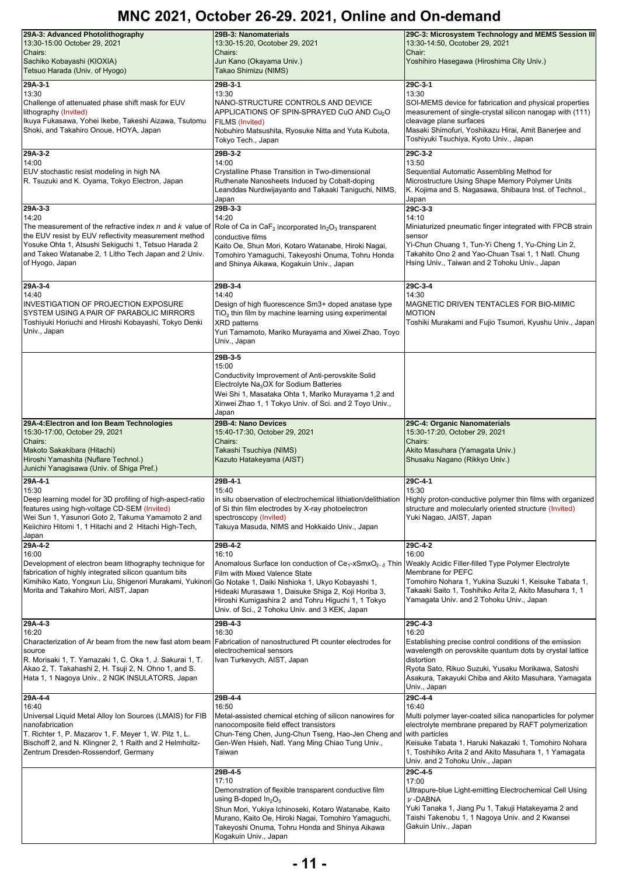| 29A-3: Advanced Photolithography<br>13:30-15:00 October 29, 2021<br>Chairs:<br>Sachiko Kobayashi (KIOXIA)<br>Tetsuo Harada (Univ. of Hyogo)                                                                                                                                               | 29B-3: Nanomaterials<br>13:30-15:20, Ocotober 29, 2021<br>Chairs:<br>Jun Kano (Okayama Univ.)<br>Takao Shimizu (NIMS)                                                                                                                                                                                         | 29C-3: Microsystem Technology and MEMS Session III<br>13:30-14:50, Ocotober 29, 2021<br>Chair:<br>Yoshihiro Hasegawa (Hiroshima City Univ.)                                                                                                                                                                   |
|-------------------------------------------------------------------------------------------------------------------------------------------------------------------------------------------------------------------------------------------------------------------------------------------|---------------------------------------------------------------------------------------------------------------------------------------------------------------------------------------------------------------------------------------------------------------------------------------------------------------|---------------------------------------------------------------------------------------------------------------------------------------------------------------------------------------------------------------------------------------------------------------------------------------------------------------|
| 29A-3-1<br>13:30<br>Challenge of attenuated phase shift mask for EUV<br>lithography (Invited)<br>Ikuya Fukasawa, Yohei Ikebe, Takeshi Aizawa, Tsutomu<br>Shoki, and Takahiro Onoue, HOYA, Japan                                                                                           | 29B-3-1<br>13:30<br>NANO-STRUCTURE CONTROLS AND DEVICE<br>APPLICATIONS OF SPIN-SPRAYED CuO AND Cu <sub>2</sub> O<br><b>FILMS (Invited)</b><br>Nobuhiro Matsushita, Ryosuke Nitta and Yuta Kubota,<br>Tokyo Tech., Japan                                                                                       | 29C-3-1<br>13:30<br>SOI-MEMS device for fabrication and physical properties<br>measurement of single-crystal silicon nanogap with (111)<br>cleavage plane surfaces<br>Masaki Shimofuri, Yoshikazu Hirai, Amit Banerjee and<br>Toshiyuki Tsuchiya, Kyoto Univ., Japan                                          |
| 29A-3-2<br>14:00<br>EUV stochastic resist modeling in high NA<br>R. Tsuzuki and K. Oyama, Tokyo Electron, Japan                                                                                                                                                                           | 29B-3-2<br>14:00<br>Crystalline Phase Transition in Two-dimensional<br>Ruthenate Nanosheets Induced by Cobalt-doping<br>Leanddas Nurdiwijayanto and Takaaki Taniguchi, NIMS,<br>Japan                                                                                                                         | 29C-3-2<br>13:50<br>Sequential Automatic Assembling Method for<br>Microstructure Using Shape Memory Polymer Units<br>K. Kojima and S. Nagasawa, Shibaura Inst. of Technol.,<br>Japan                                                                                                                          |
| 29A-3-3<br>14:20<br>The measurement of the refractive index n and k value of<br>the EUV resist by EUV reflectivity measurement method<br>Yosuke Ohta 1, Atsushi Sekiguchi 1, Tetsuo Harada 2<br>and Takeo Watanabe 2, 1 Litho Tech Japan and 2 Univ.<br>of Hyogo, Japan                   | 29B-3-3<br>14:20<br>Role of Ca in CaF <sub>2</sub> incorporated $ln_2O_3$ transparent<br>conductive films<br>Kaito Oe, Shun Mori, Kotaro Watanabe, Hiroki Nagai,<br>Tomohiro Yamaguchi, Takeyoshi Onuma, Tohru Honda<br>and Shinya Aikawa, Kogakuin Univ., Japan                                              | 29C-3-3<br>14:10<br>Miniaturized pneumatic finger integrated with FPCB strain<br>sensor<br>Yi-Chun Chuang 1, Tun-Yi Cheng 1, Yu-Ching Lin 2,<br>Takahito Ono 2 and Yao-Chuan Tsai 1, 1 Natl. Chung<br>Hsing Univ., Taiwan and 2 Tohoku Univ., Japan                                                           |
| 29A-3-4<br>14:40<br><b>INVESTIGATION OF PROJECTION EXPOSURE</b><br>SYSTEM USING A PAIR OF PARABOLIC MIRRORS<br>Toshiyuki Horiuchi and Hiroshi Kobayashi, Tokyo Denki<br>Univ., Japan                                                                                                      | 29B-3-4<br>14:40<br>Design of high fluorescence Sm3+ doped anatase type<br>$TiO2$ thin film by machine learning using experimental<br><b>XRD</b> patterns<br>Yuri Tamamoto, Mariko Murayama and Xiwei Zhao, Toyo<br>Univ., Japan                                                                              | 29C-3-4<br>14:30<br>MAGNETIC DRIVEN TENTACLES FOR BIO-MIMIC<br><b>MOTION</b><br>Toshiki Murakami and Fujio Tsumori, Kyushu Univ., Japan                                                                                                                                                                       |
|                                                                                                                                                                                                                                                                                           | 29B-3-5<br>15:00<br>Conductivity Improvement of Anti-perovskite Solid<br>Electrolyte $Na3OX$ for Sodium Batteries<br>Wei Shi 1, Masataka Ohta 1, Mariko Murayama 1,2 and<br>Xinwei Zhao 1, 1 Tokyo Univ. of Sci. and 2 Toyo Univ.,<br>Japan                                                                   |                                                                                                                                                                                                                                                                                                               |
| 29A-4: Electron and Ion Beam Technologies<br>15:30-17:00, October 29, 2021<br>Chairs:<br>Makoto Sakakibara (Hitachi)<br>Hiroshi Yamashita (Nuflare Technol.)<br>Junichi Yanagisawa (Univ. of Shiga Pref.)                                                                                 | 29B-4: Nano Devices<br>15:40-17:30, October 29, 2021<br>Chairs:<br>Takashi Tsuchiya (NIMS)<br>Kazuto Hatakeyama (AIST)                                                                                                                                                                                        | 29C-4: Organic Nanomaterials<br>15:30-17:20, October 29, 2021<br>Chairs:<br>Akito Masuhara (Yamagata Univ.)<br>Shusaku Nagano (Rikkyo Univ.)                                                                                                                                                                  |
| $29A-4-1$<br>15:30<br>Deep learning model for 3D profiling of high-aspect-ratio<br>features using high-voltage CD-SEM (Invited)<br>Wei Sun 1, Yasunori Goto 2, Takuma Yamamoto 2 and<br>Keiichiro Hitomi 1, 1 Hitachi and 2 Hitachi High-Tech,<br>Japan                                   | 29B-4-1<br>15:40<br>in situ observation of electrochemical lithiation/delithiation<br>of Si thin film electrodes by X-ray photoelectron<br>spectroscopy (Invited)<br>Takuya Masuda, NIMS and Hokkaido Univ., Japan                                                                                            | 29C-4-1<br>15:30<br>Highly proton-conductive polymer thin films with organized<br>structure and molecularly oriented structure (Invited)<br>Yuki Nagao, JAIST, Japan                                                                                                                                          |
| 29A-4-2<br>16:00<br>Development of electron beam lithography technique for<br>fabrication of highly integrated silicon quantum bits<br>Kimihiko Kato, Yongxun Liu, Shigenori Murakami, Yukinori Go Notake 1, Daiki Nishioka 1, Ukyo Kobayashi 1,<br>Morita and Takahiro Mori, AIST, Japan | 29B-4-2<br>16:10<br>Anomalous Surface Ion conduction of $Ce_{1}$ -xSmxO <sub>2-<math>\delta</math></sub> Thin<br>Film with Mixed Valence State<br>Hideaki Murasawa 1, Daisuke Shiga 2, Koji Horiba 3,<br>Hiroshi Kumigashira 2 and Tohru Higuchi 1, 1 Tokyo<br>Univ. of Sci., 2 Tohoku Univ. and 3 KEK, Japan | 29C-4-2<br>16:00<br>Weakly Acidic Filler-filled Type Polymer Electrolyte<br>Membrane for PEFC<br>Tomohiro Nohara 1, Yukina Suzuki 1, Keisuke Tabata 1,<br>Takaaki Saito 1, Toshihiko Arita 2, Akito Masuhara 1, 1<br>Yamagata Univ. and 2 Tohoku Univ., Japan                                                 |
| 29A-4-3<br>16:20<br>Characterization of Ar beam from the new fast atom beam<br>source<br>R. Morisaki 1, T. Yamazaki 1, C. Oka 1, J. Sakurai 1, T.<br>Akao 2, T. Takahashi 2, H. Tsuji 2, N. Ohno 1, and S.<br>Hata 1, 1 Nagoya Univ., 2 NGK INSULATORS, Japan                             | 29B-4-3<br>16:30<br><b>Fabrication of nanostructured Pt counter electrodes for</b><br>electrochemical sensors<br>Ivan Turkevych, AIST, Japan                                                                                                                                                                  | 29C-4-3<br>16:20<br>Establishing precise control conditions of the emission<br>wavelength on perovskite quantum dots by crystal lattice<br>distortion<br>Ryota Sato, Rikuo Suzuki, Yusaku Morikawa, Satoshi<br>Asakura, Takayuki Chiba and Akito Masuhara, Yamagata<br>Univ., Japan                           |
| 29A-4-4<br>16:40<br>Universal Liquid Metal Alloy Ion Sources (LMAIS) for FIB<br>nanofabrication<br>T. Richter 1, P. Mazarov 1, F. Meyer 1, W. Pilz 1, L.<br>Bischoff 2, and N. Klingner 2, 1 Raith and 2 Helmholtz-<br>Zentrum Dresden-Rossendorf, Germany                                | 29B-4-4<br>16:50<br>Metal-assisted chemical etching of silicon nanowires for<br>nanocomposite field effect transistors<br>Chun-Teng Chen, Jung-Chun Tseng, Hao-Jen Cheng and<br>Gen-Wen Hsieh, Natl. Yang Ming Chiao Tung Univ.,<br>Taiwan                                                                    | 29C-4-4<br>16:40<br>Multi polymer layer-coated silica nanoparticles for polymer<br>electrolyte membrane prepared by RAFT polymerization<br>with particles<br>Keisuke Tabata 1, Haruki Nakazaki 1, Tomohiro Nohara<br>1, Toshihiko Arita 2 and Akito Masuhara 1, 1 Yamagata<br>Univ. and 2 Tohoku Univ., Japan |
|                                                                                                                                                                                                                                                                                           | 29B-4-5<br>17:10<br>Demonstration of flexible transparent conductive film<br>using B-doped $In_2O_3$<br>Shun Mori, Yukiya Ichinoseki, Kotaro Watanabe, Kaito<br>Murano, Kaito Oe, Hiroki Nagai, Tomohiro Yamaguchi,<br>Takeyoshi Onuma, Tohru Honda and Shinya Aikawa<br>Kogakuin Univ., Japan                | 29C-4-5<br>17:00<br>Ultrapure-blue Light-emitting Electrochemical Cell Using<br>$\nu$ -DABNA<br>Yuki Tanaka 1, Jiang Pu 1, Takuji Hatakeyama 2 and<br>Taishi Takenobu 1, 1 Nagoya Univ. and 2 Kwansei<br>Gakuin Univ., Japan                                                                                  |